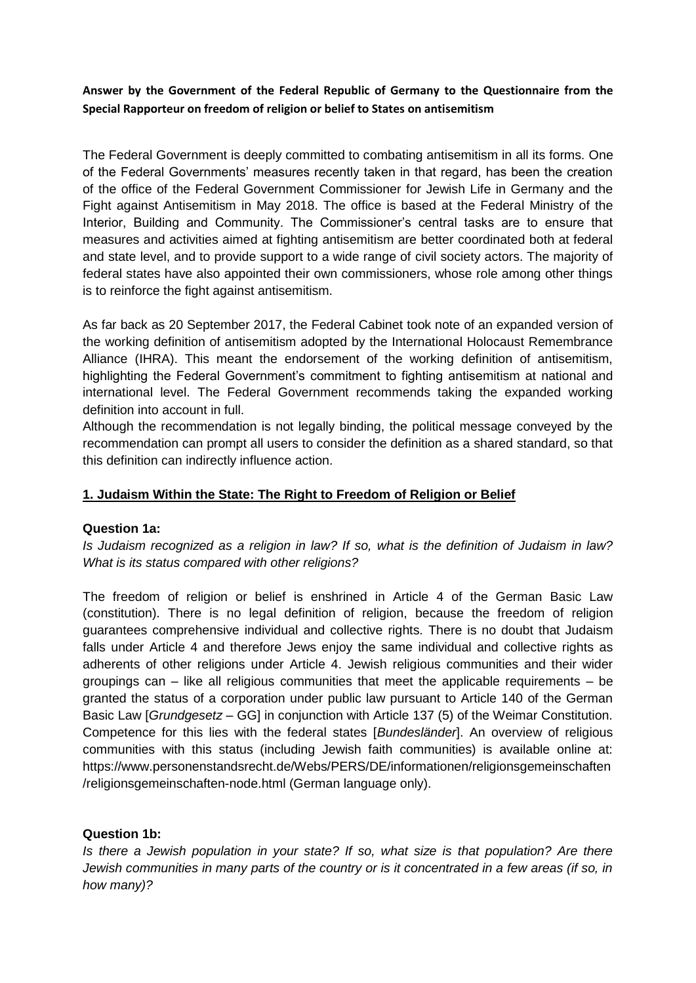**Answer by the Government of the Federal Republic of Germany to the Questionnaire from the Special Rapporteur on freedom of religion or belief to States on antisemitism**

The Federal Government is deeply committed to combating antisemitism in all its forms. One of the Federal Governments' measures recently taken in that regard, has been the creation of the office of the Federal Government Commissioner for Jewish Life in Germany and the Fight against Antisemitism in May 2018. The office is based at the Federal Ministry of the Interior, Building and Community. The Commissioner's central tasks are to ensure that measures and activities aimed at fighting antisemitism are better coordinated both at federal and state level, and to provide support to a wide range of civil society actors. The majority of federal states have also appointed their own commissioners, whose role among other things is to reinforce the fight against antisemitism.

As far back as 20 September 2017, the Federal Cabinet took note of an expanded version of the working definition of antisemitism adopted by the International Holocaust Remembrance Alliance (IHRA). This meant the endorsement of the working definition of antisemitism, highlighting the Federal Government's commitment to fighting antisemitism at national and international level. The Federal Government recommends taking the expanded working definition into account in full.

Although the recommendation is not legally binding, the political message conveyed by the recommendation can prompt all users to consider the definition as a shared standard, so that this definition can indirectly influence action.

# **1. Judaism Within the State: The Right to Freedom of Religion or Belief**

## **Question 1a:**

*Is Judaism recognized as a religion in law? If so, what is the definition of Judaism in law? What is its status compared with other religions?*

The freedom of religion or belief is enshrined in Article 4 of the German Basic Law (constitution). There is no legal definition of religion, because the freedom of religion guarantees comprehensive individual and collective rights. There is no doubt that Judaism falls under Article 4 and therefore Jews enjoy the same individual and collective rights as adherents of other religions under Article 4. Jewish religious communities and their wider groupings can  $-$  like all religious communities that meet the applicable requirements  $-$  be granted the status of a corporation under public law pursuant to Article 140 of the German Basic Law [*Grundgesetz* – GG] in conjunction with Article 137 (5) of the Weimar Constitution. Competence for this lies with the federal states [*Bundesländer*]. An overview of religious communities with this status (including Jewish faith communities) is available online at: https://www.personenstandsrecht.de/Webs/PERS/DE/informationen/religionsgemeinschaften /religionsgemeinschaften-node.html (German language only).

## **Question 1b:**

*Is there a Jewish population in your state? If so, what size is that population? Are there Jewish communities in many parts of the country or is it concentrated in a few areas (if so, in how many)?*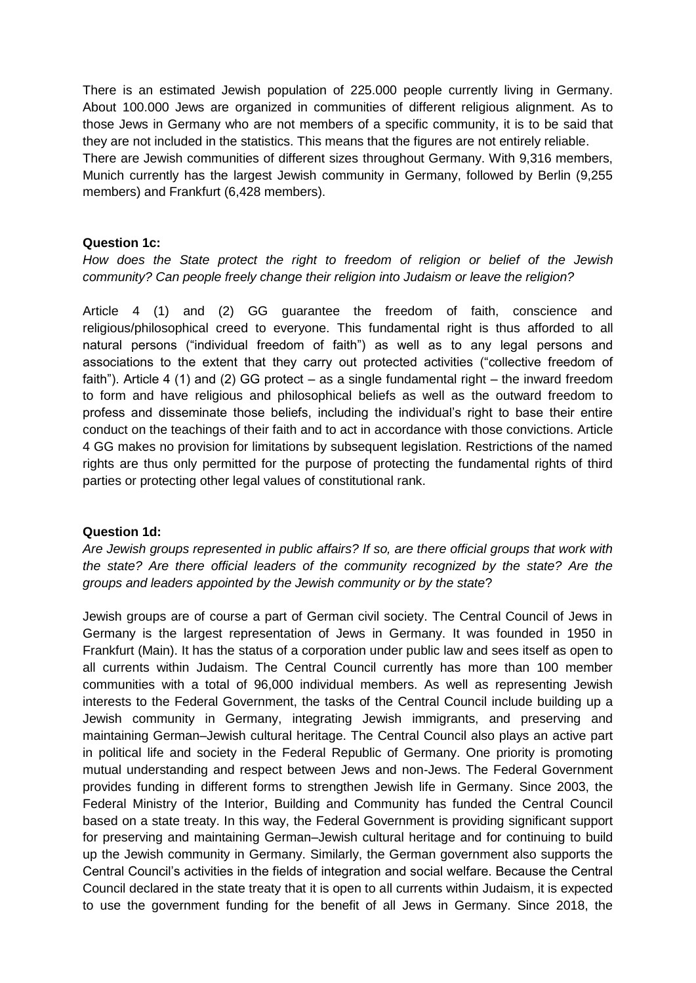There is an estimated Jewish population of 225.000 people currently living in Germany. About 100.000 Jews are organized in communities of different religious alignment. As to those Jews in Germany who are not members of a specific community, it is to be said that they are not included in the statistics. This means that the figures are not entirely reliable. There are Jewish communities of different sizes throughout Germany. With 9,316 members, Munich currently has the largest Jewish community in Germany, followed by Berlin (9,255 members) and Frankfurt (6,428 members).

### **Question 1c:**

*How does the State protect the right to freedom of religion or belief of the Jewish community? Can people freely change their religion into Judaism or leave the religion?*

Article 4 (1) and (2) GG guarantee the freedom of faith, conscience and religious/philosophical creed to everyone. This fundamental right is thus afforded to all natural persons ("individual freedom of faith") as well as to any legal persons and associations to the extent that they carry out protected activities ("collective freedom of faith"). Article 4 (1) and (2) GG protect – as a single fundamental right – the inward freedom to form and have religious and philosophical beliefs as well as the outward freedom to profess and disseminate those beliefs, including the individual's right to base their entire conduct on the teachings of their faith and to act in accordance with those convictions. Article 4 GG makes no provision for limitations by subsequent legislation. Restrictions of the named rights are thus only permitted for the purpose of protecting the fundamental rights of third parties or protecting other legal values of constitutional rank.

#### **Question 1d:**

*Are Jewish groups represented in public affairs? If so, are there official groups that work with the state? Are there official leaders of the community recognized by the state? Are the groups and leaders appointed by the Jewish community or by the state*?

Jewish groups are of course a part of German civil society. The Central Council of Jews in Germany is the largest representation of Jews in Germany. It was founded in 1950 in Frankfurt (Main). It has the status of a corporation under public law and sees itself as open to all currents within Judaism. The Central Council currently has more than 100 member communities with a total of 96,000 individual members. As well as representing Jewish interests to the Federal Government, the tasks of the Central Council include building up a Jewish community in Germany, integrating Jewish immigrants, and preserving and maintaining German–Jewish cultural heritage. The Central Council also plays an active part in political life and society in the Federal Republic of Germany. One priority is promoting mutual understanding and respect between Jews and non-Jews. The Federal Government provides funding in different forms to strengthen Jewish life in Germany. Since 2003, the Federal Ministry of the Interior, Building and Community has funded the Central Council based on a state treaty. In this way, the Federal Government is providing significant support for preserving and maintaining German–Jewish cultural heritage and for continuing to build up the Jewish community in Germany. Similarly, the German government also supports the Central Council's activities in the fields of integration and social welfare. Because the Central Council declared in the state treaty that it is open to all currents within Judaism, it is expected to use the government funding for the benefit of all Jews in Germany. Since 2018, the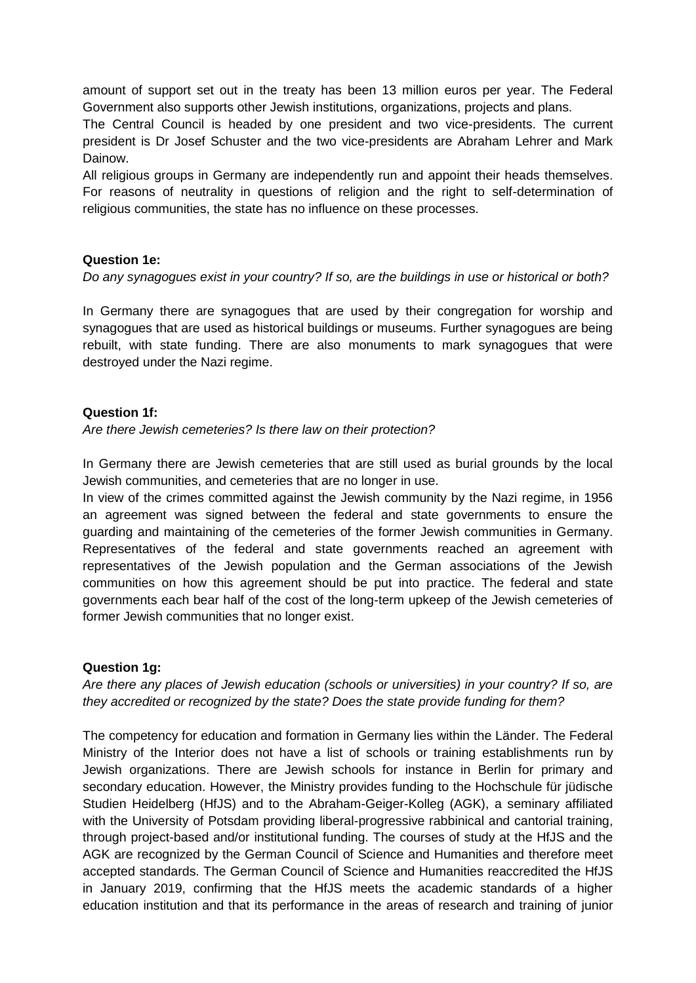amount of support set out in the treaty has been 13 million euros per year. The Federal Government also supports other Jewish institutions, organizations, projects and plans.

The Central Council is headed by one president and two vice-presidents. The current president is Dr Josef Schuster and the two vice-presidents are Abraham Lehrer and Mark Dainow.

All religious groups in Germany are independently run and appoint their heads themselves. For reasons of neutrality in questions of religion and the right to self-determination of religious communities, the state has no influence on these processes.

## **Question 1e:**

## *Do any synagogues exist in your country? If so, are the buildings in use or historical or both?*

In Germany there are synagogues that are used by their congregation for worship and synagogues that are used as historical buildings or museums. Further synagogues are being rebuilt, with state funding. There are also monuments to mark synagogues that were destroyed under the Nazi regime.

## **Question 1f:**

*Are there Jewish cemeteries? Is there law on their protection?*

In Germany there are Jewish cemeteries that are still used as burial grounds by the local Jewish communities, and cemeteries that are no longer in use.

In view of the crimes committed against the Jewish community by the Nazi regime, in 1956 an agreement was signed between the federal and state governments to ensure the guarding and maintaining of the cemeteries of the former Jewish communities in Germany. Representatives of the federal and state governments reached an agreement with representatives of the Jewish population and the German associations of the Jewish communities on how this agreement should be put into practice. The federal and state governments each bear half of the cost of the long-term upkeep of the Jewish cemeteries of former Jewish communities that no longer exist.

## **Question 1g:**

*Are there any places of Jewish education (schools or universities) in your country? If so, are they accredited or recognized by the state? Does the state provide funding for them?*

The competency for education and formation in Germany lies within the Länder. The Federal Ministry of the Interior does not have a list of schools or training establishments run by Jewish organizations. There are Jewish schools for instance in Berlin for primary and secondary education. However, the Ministry provides funding to the Hochschule für jüdische Studien Heidelberg (HfJS) and to the Abraham-Geiger-Kolleg (AGK), a seminary affiliated with the University of Potsdam providing liberal-progressive rabbinical and cantorial training, through project-based and/or institutional funding. The courses of study at the HfJS and the AGK are recognized by the German Council of Science and Humanities and therefore meet accepted standards. The German Council of Science and Humanities reaccredited the HfJS in January 2019, confirming that the HfJS meets the academic standards of a higher education institution and that its performance in the areas of research and training of junior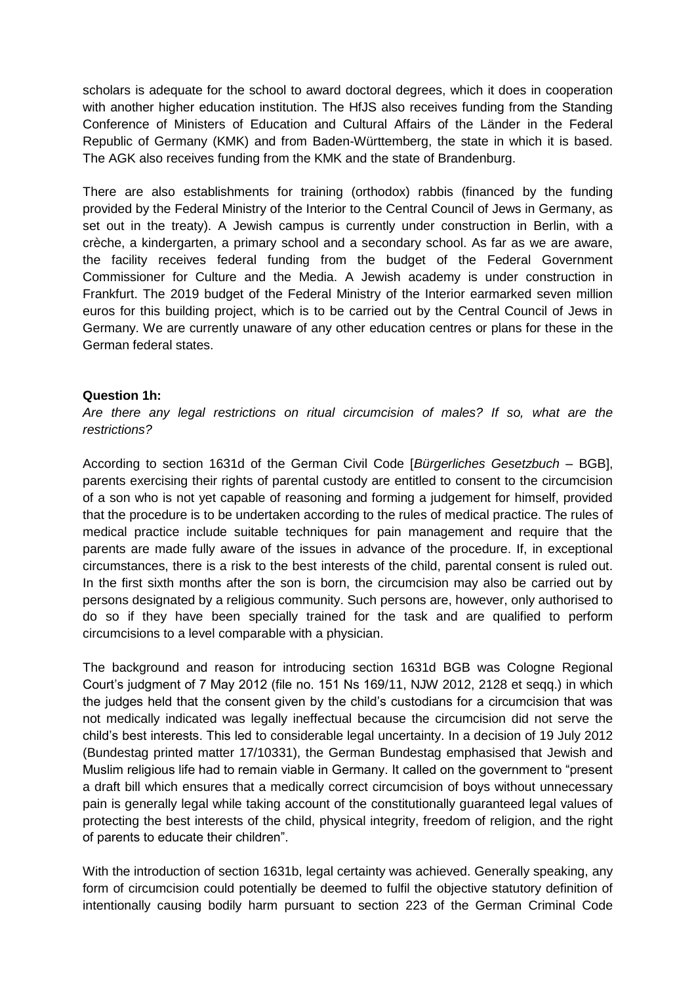scholars is adequate for the school to award doctoral degrees, which it does in cooperation with another higher education institution. The HfJS also receives funding from the Standing Conference of Ministers of Education and Cultural Affairs of the Länder in the Federal Republic of Germany (KMK) and from Baden-Württemberg, the state in which it is based. The AGK also receives funding from the KMK and the state of Brandenburg.

There are also establishments for training (orthodox) rabbis (financed by the funding provided by the Federal Ministry of the Interior to the Central Council of Jews in Germany, as set out in the treaty). A Jewish campus is currently under construction in Berlin, with a crèche, a kindergarten, a primary school and a secondary school. As far as we are aware, the facility receives federal funding from the budget of the Federal Government Commissioner for Culture and the Media. A Jewish academy is under construction in Frankfurt. The 2019 budget of the Federal Ministry of the Interior earmarked seven million euros for this building project, which is to be carried out by the Central Council of Jews in Germany. We are currently unaware of any other education centres or plans for these in the German federal states.

#### **Question 1h:**

*Are there any legal restrictions on ritual circumcision of males? If so, what are the restrictions?*

According to section 1631d of the German Civil Code [*Bürgerliches Gesetzbuch* – BGB], parents exercising their rights of parental custody are entitled to consent to the circumcision of a son who is not yet capable of reasoning and forming a judgement for himself, provided that the procedure is to be undertaken according to the rules of medical practice. The rules of medical practice include suitable techniques for pain management and require that the parents are made fully aware of the issues in advance of the procedure. If, in exceptional circumstances, there is a risk to the best interests of the child, parental consent is ruled out. In the first sixth months after the son is born, the circumcision may also be carried out by persons designated by a religious community. Such persons are, however, only authorised to do so if they have been specially trained for the task and are qualified to perform circumcisions to a level comparable with a physician.

The background and reason for introducing section 1631d BGB was Cologne Regional Court's judgment of 7 May 2012 (file no. 151 Ns 169/11, NJW 2012, 2128 et seqq.) in which the judges held that the consent given by the child's custodians for a circumcision that was not medically indicated was legally ineffectual because the circumcision did not serve the child's best interests. This led to considerable legal uncertainty. In a decision of 19 July 2012 (Bundestag printed matter 17/10331), the German Bundestag emphasised that Jewish and Muslim religious life had to remain viable in Germany. It called on the government to "present a draft bill which ensures that a medically correct circumcision of boys without unnecessary pain is generally legal while taking account of the constitutionally guaranteed legal values of protecting the best interests of the child, physical integrity, freedom of religion, and the right of parents to educate their children".

With the introduction of section 1631b, legal certainty was achieved. Generally speaking, any form of circumcision could potentially be deemed to fulfil the objective statutory definition of intentionally causing bodily harm pursuant to section 223 of the German Criminal Code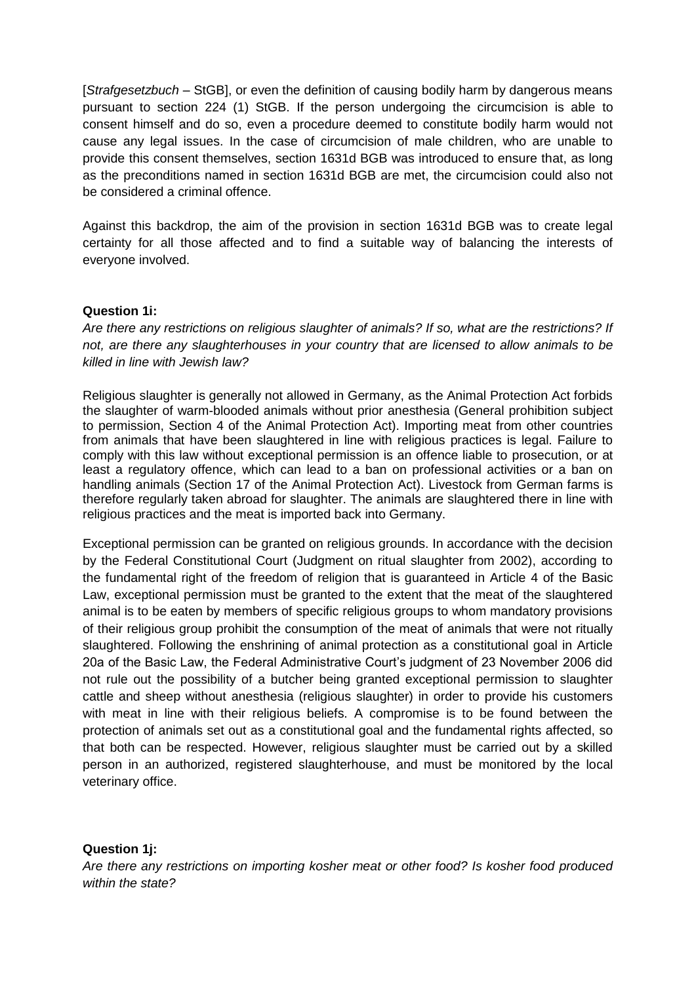[*Strafgesetzbuch* – StGB], or even the definition of causing bodily harm by dangerous means pursuant to section 224 (1) StGB. If the person undergoing the circumcision is able to consent himself and do so, even a procedure deemed to constitute bodily harm would not cause any legal issues. In the case of circumcision of male children, who are unable to provide this consent themselves, section 1631d BGB was introduced to ensure that, as long as the preconditions named in section 1631d BGB are met, the circumcision could also not be considered a criminal offence.

Against this backdrop, the aim of the provision in section 1631d BGB was to create legal certainty for all those affected and to find a suitable way of balancing the interests of everyone involved.

## **Question 1i:**

*Are there any restrictions on religious slaughter of animals? If so, what are the restrictions? If not, are there any slaughterhouses in your country that are licensed to allow animals to be killed in line with Jewish law?*

Religious slaughter is generally not allowed in Germany, as the Animal Protection Act forbids the slaughter of warm-blooded animals without prior anesthesia (General prohibition subject to permission, Section 4 of the Animal Protection Act). Importing meat from other countries from animals that have been slaughtered in line with religious practices is legal. Failure to comply with this law without exceptional permission is an offence liable to prosecution, or at least a regulatory offence, which can lead to a ban on professional activities or a ban on handling animals (Section 17 of the Animal Protection Act). Livestock from German farms is therefore regularly taken abroad for slaughter. The animals are slaughtered there in line with religious practices and the meat is imported back into Germany.

Exceptional permission can be granted on religious grounds. In accordance with the decision by the Federal Constitutional Court (Judgment on ritual slaughter from 2002), according to the fundamental right of the freedom of religion that is guaranteed in Article 4 of the Basic Law, exceptional permission must be granted to the extent that the meat of the slaughtered animal is to be eaten by members of specific religious groups to whom mandatory provisions of their religious group prohibit the consumption of the meat of animals that were not ritually slaughtered. Following the enshrining of animal protection as a constitutional goal in Article 20a of the Basic Law, the Federal Administrative Court's judgment of 23 November 2006 did not rule out the possibility of a butcher being granted exceptional permission to slaughter cattle and sheep without anesthesia (religious slaughter) in order to provide his customers with meat in line with their religious beliefs. A compromise is to be found between the protection of animals set out as a constitutional goal and the fundamental rights affected, so that both can be respected. However, religious slaughter must be carried out by a skilled person in an authorized, registered slaughterhouse, and must be monitored by the local veterinary office.

# **Question 1j:**

*Are there any restrictions on importing kosher meat or other food? Is kosher food produced within the state?*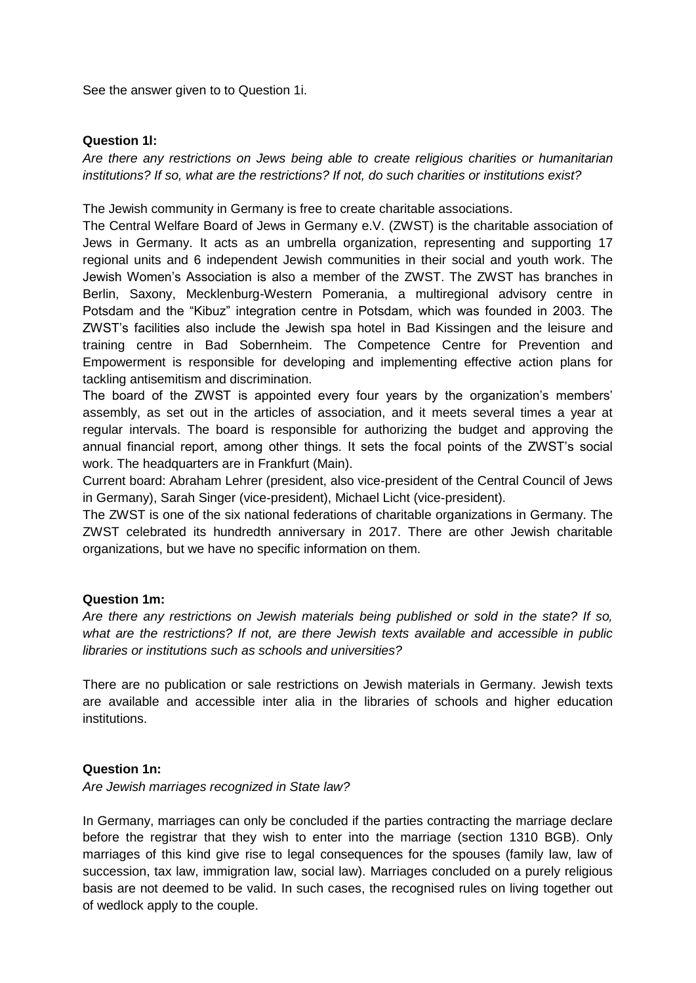See the answer given to to Question 1i.

### **Question 1l:**

*Are there any restrictions on Jews being able to create religious charities or humanitarian institutions? If so, what are the restrictions? If not, do such charities or institutions exist?*

The Jewish community in Germany is free to create charitable associations.

The Central Welfare Board of Jews in Germany e.V. (ZWST) is the charitable association of Jews in Germany. It acts as an umbrella organization, representing and supporting 17 regional units and 6 independent Jewish communities in their social and youth work. The Jewish Women's Association is also a member of the ZWST. The ZWST has branches in Berlin, Saxony, Mecklenburg-Western Pomerania, a multiregional advisory centre in Potsdam and the "Kibuz" integration centre in Potsdam, which was founded in 2003. The ZWST's facilities also include the Jewish spa hotel in Bad Kissingen and the leisure and training centre in Bad Sobernheim. The Competence Centre for Prevention and Empowerment is responsible for developing and implementing effective action plans for tackling antisemitism and discrimination.

The board of the ZWST is appointed every four years by the organization's members' assembly, as set out in the articles of association, and it meets several times a year at regular intervals. The board is responsible for authorizing the budget and approving the annual financial report, among other things. It sets the focal points of the ZWST's social work. The headquarters are in Frankfurt (Main).

Current board: Abraham Lehrer (president, also vice-president of the Central Council of Jews in Germany), Sarah Singer (vice-president), Michael Licht (vice-president).

The ZWST is one of the six national federations of charitable organizations in Germany. The ZWST celebrated its hundredth anniversary in 2017. There are other Jewish charitable organizations, but we have no specific information on them.

## **Question 1m:**

*Are there any restrictions on Jewish materials being published or sold in the state? If so, what are the restrictions? If not, are there Jewish texts available and accessible in public libraries or institutions such as schools and universities?*

There are no publication or sale restrictions on Jewish materials in Germany. Jewish texts are available and accessible inter alia in the libraries of schools and higher education institutions.

## **Question 1n:**

*Are Jewish marriages recognized in State law?*

In Germany, marriages can only be concluded if the parties contracting the marriage declare before the registrar that they wish to enter into the marriage (section 1310 BGB). Only marriages of this kind give rise to legal consequences for the spouses (family law, law of succession, tax law, immigration law, social law). Marriages concluded on a purely religious basis are not deemed to be valid. In such cases, the recognised rules on living together out of wedlock apply to the couple.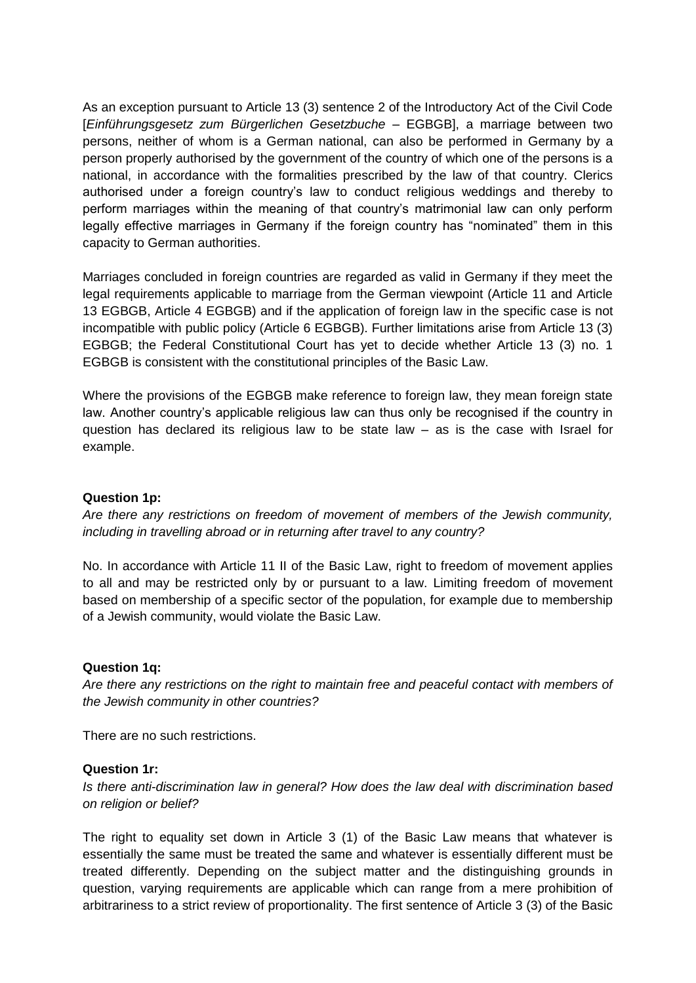As an exception pursuant to Article 13 (3) sentence 2 of the Introductory Act of the Civil Code [*Einführungsgesetz zum Bürgerlichen Gesetzbuche* – EGBGB], a marriage between two persons, neither of whom is a German national, can also be performed in Germany by a person properly authorised by the government of the country of which one of the persons is a national, in accordance with the formalities prescribed by the law of that country. Clerics authorised under a foreign country's law to conduct religious weddings and thereby to perform marriages within the meaning of that country's matrimonial law can only perform legally effective marriages in Germany if the foreign country has "nominated" them in this capacity to German authorities.

Marriages concluded in foreign countries are regarded as valid in Germany if they meet the legal requirements applicable to marriage from the German viewpoint (Article 11 and Article 13 EGBGB, Article 4 EGBGB) and if the application of foreign law in the specific case is not incompatible with public policy (Article 6 EGBGB). Further limitations arise from Article 13 (3) EGBGB; the Federal Constitutional Court has yet to decide whether Article 13 (3) no. 1 EGBGB is consistent with the constitutional principles of the Basic Law.

Where the provisions of the EGBGB make reference to foreign law, they mean foreign state law. Another country's applicable religious law can thus only be recognised if the country in question has declared its religious law to be state law  $-$  as is the case with Israel for example.

## **Question 1p:**

*Are there any restrictions on freedom of movement of members of the Jewish community, including in travelling abroad or in returning after travel to any country?*

No. In accordance with Article 11 II of the Basic Law, right to freedom of movement applies to all and may be restricted only by or pursuant to a law. Limiting freedom of movement based on membership of a specific sector of the population, for example due to membership of a Jewish community, would violate the Basic Law.

#### **Question 1q:**

*Are there any restrictions on the right to maintain free and peaceful contact with members of the Jewish community in other countries?*

There are no such restrictions.

#### **Question 1r:**

*Is there anti-discrimination law in general? How does the law deal with discrimination based on religion or belief?*

The right to equality set down in Article 3 (1) of the Basic Law means that whatever is essentially the same must be treated the same and whatever is essentially different must be treated differently. Depending on the subject matter and the distinguishing grounds in question, varying requirements are applicable which can range from a mere prohibition of arbitrariness to a strict review of proportionality. The first sentence of Article 3 (3) of the Basic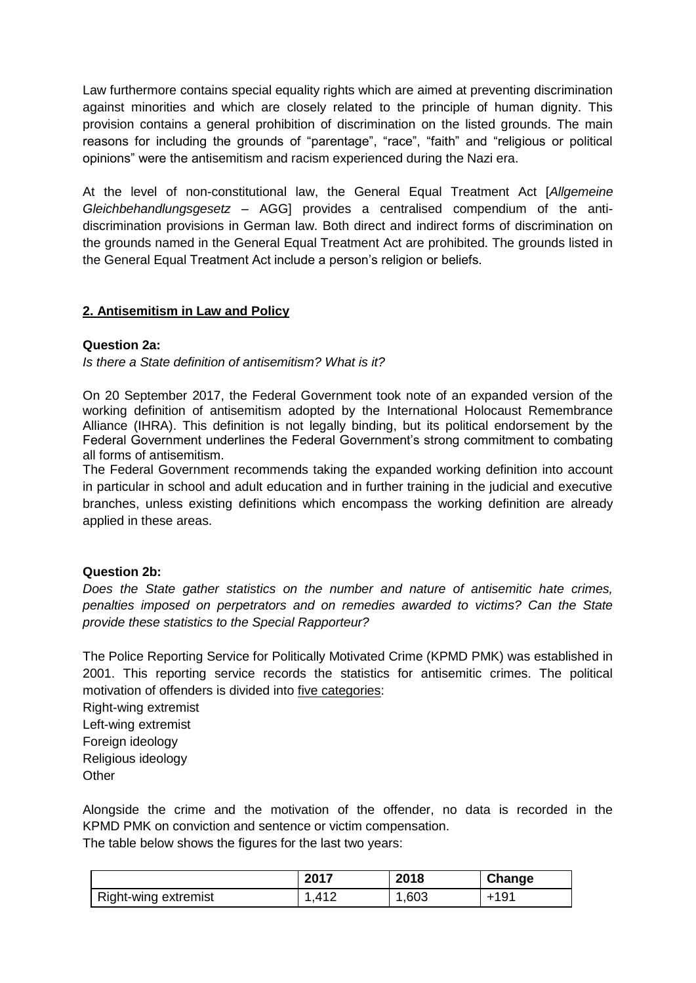Law furthermore contains special equality rights which are aimed at preventing discrimination against minorities and which are closely related to the principle of human dignity. This provision contains a general prohibition of discrimination on the listed grounds. The main reasons for including the grounds of "parentage", "race", "faith" and "religious or political opinions" were the antisemitism and racism experienced during the Nazi era.

At the level of non-constitutional law, the General Equal Treatment Act [*Allgemeine Gleichbehandlungsgesetz* – AGG] provides a centralised compendium of the antidiscrimination provisions in German law. Both direct and indirect forms of discrimination on the grounds named in the General Equal Treatment Act are prohibited. The grounds listed in the General Equal Treatment Act include a person's religion or beliefs.

# **2. Antisemitism in Law and Policy**

## **Question 2a:**

*Is there a State definition of antisemitism? What is it?*

On 20 September 2017, the Federal Government took note of an expanded version of the working definition of antisemitism adopted by the International Holocaust Remembrance Alliance (IHRA). This definition is not legally binding, but its political endorsement by the Federal Government underlines the Federal Government's strong commitment to combating all forms of antisemitism.

The Federal Government recommends taking the expanded working definition into account in particular in school and adult education and in further training in the judicial and executive branches, unless existing definitions which encompass the working definition are already applied in these areas.

## **Question 2b:**

*Does the State gather statistics on the number and nature of antisemitic hate crimes, penalties imposed on perpetrators and on remedies awarded to victims? Can the State provide these statistics to the Special Rapporteur?*

The Police Reporting Service for Politically Motivated Crime (KPMD PMK) was established in 2001. This reporting service records the statistics for antisemitic crimes. The political motivation of offenders is divided into five categories:

Right-wing extremist Left-wing extremist Foreign ideology Religious ideology **Other** 

Alongside the crime and the motivation of the offender, no data is recorded in the KPMD PMK on conviction and sentence or victim compensation.

The table below shows the figures for the last two years:

|                      | 2017        | 2018 | Change |
|----------------------|-------------|------|--------|
| Right-wing extremist | $\Delta$ 10 | ,603 | $+191$ |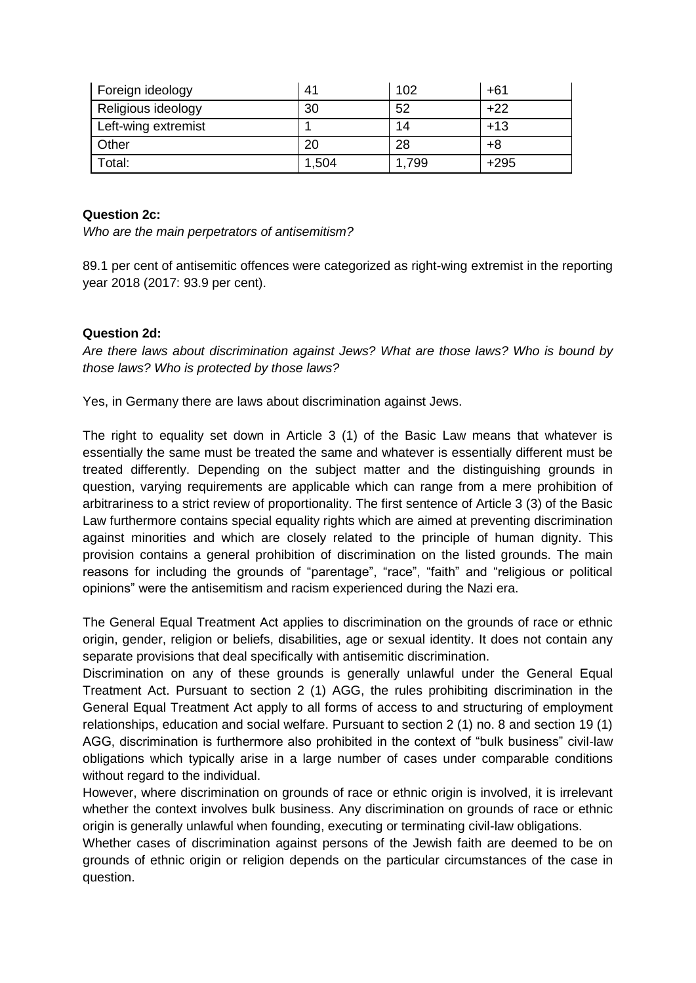| Foreign ideology    | 41    | 102   | +61    |
|---------------------|-------|-------|--------|
| Religious ideology  | 30    | 52    | +22    |
| Left-wing extremist |       | 14    | $+13$  |
| Other               | 20    | 28    | +8     |
| Total:              | 1,504 | 1,799 | $+295$ |

## **Question 2c:**

*Who are the main perpetrators of antisemitism?*

89.1 per cent of antisemitic offences were categorized as right-wing extremist in the reporting year 2018 (2017: 93.9 per cent).

## **Question 2d:**

*Are there laws about discrimination against Jews? What are those laws? Who is bound by those laws? Who is protected by those laws?*

Yes, in Germany there are laws about discrimination against Jews.

The right to equality set down in Article 3 (1) of the Basic Law means that whatever is essentially the same must be treated the same and whatever is essentially different must be treated differently. Depending on the subject matter and the distinguishing grounds in question, varying requirements are applicable which can range from a mere prohibition of arbitrariness to a strict review of proportionality. The first sentence of Article 3 (3) of the Basic Law furthermore contains special equality rights which are aimed at preventing discrimination against minorities and which are closely related to the principle of human dignity. This provision contains a general prohibition of discrimination on the listed grounds. The main reasons for including the grounds of "parentage", "race", "faith" and "religious or political opinions" were the antisemitism and racism experienced during the Nazi era.

The General Equal Treatment Act applies to discrimination on the grounds of race or ethnic origin, gender, religion or beliefs, disabilities, age or sexual identity. It does not contain any separate provisions that deal specifically with antisemitic discrimination.

Discrimination on any of these grounds is generally unlawful under the General Equal Treatment Act. Pursuant to section 2 (1) AGG, the rules prohibiting discrimination in the General Equal Treatment Act apply to all forms of access to and structuring of employment relationships, education and social welfare. Pursuant to section 2 (1) no. 8 and section 19 (1) AGG, discrimination is furthermore also prohibited in the context of "bulk business" civil-law obligations which typically arise in a large number of cases under comparable conditions without regard to the individual.

However, where discrimination on grounds of race or ethnic origin is involved, it is irrelevant whether the context involves bulk business. Any discrimination on grounds of race or ethnic origin is generally unlawful when founding, executing or terminating civil-law obligations.

Whether cases of discrimination against persons of the Jewish faith are deemed to be on grounds of ethnic origin or religion depends on the particular circumstances of the case in question.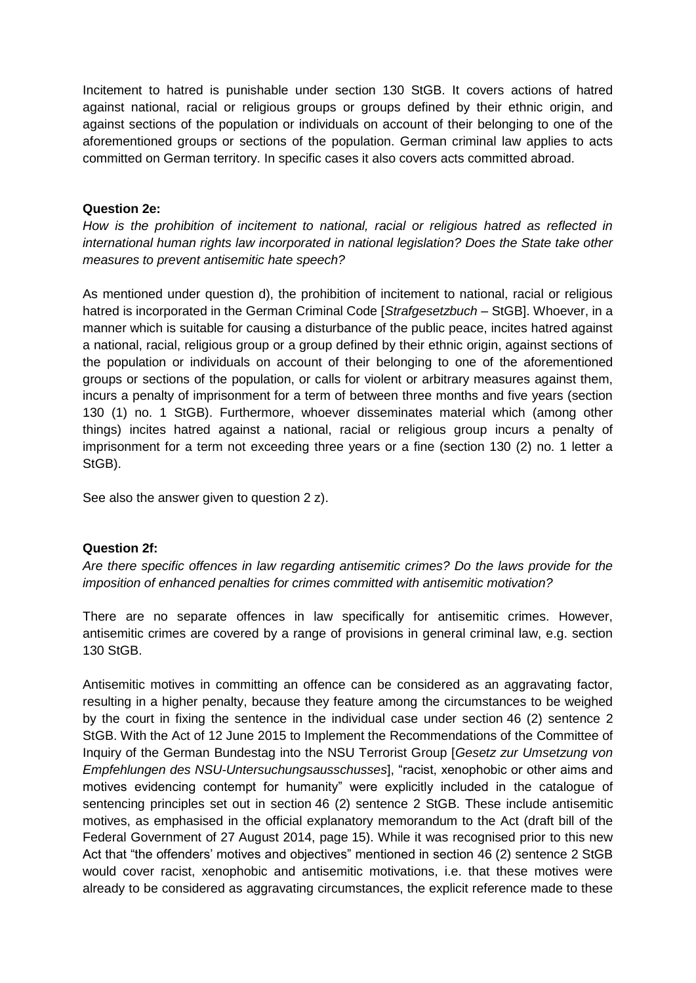Incitement to hatred is punishable under section 130 StGB. It covers actions of hatred against national, racial or religious groups or groups defined by their ethnic origin, and against sections of the population or individuals on account of their belonging to one of the aforementioned groups or sections of the population. German criminal law applies to acts committed on German territory. In specific cases it also covers acts committed abroad.

## **Question 2e:**

*How is the prohibition of incitement to national, racial or religious hatred as reflected in international human rights law incorporated in national legislation? Does the State take other measures to prevent antisemitic hate speech?*

As mentioned under question d), the prohibition of incitement to national, racial or religious hatred is incorporated in the German Criminal Code [*Strafgesetzbuch* – StGB]. Whoever, in a manner which is suitable for causing a disturbance of the public peace, incites hatred against a national, racial, religious group or a group defined by their ethnic origin, against sections of the population or individuals on account of their belonging to one of the aforementioned groups or sections of the population, or calls for violent or arbitrary measures against them, incurs a penalty of imprisonment for a term of between three months and five years (section 130 (1) no. 1 StGB). Furthermore, whoever disseminates material which (among other things) incites hatred against a national, racial or religious group incurs a penalty of imprisonment for a term not exceeding three years or a fine (section 130 (2) no. 1 letter a StGB).

See also the answer given to question 2 z).

## **Question 2f:**

*Are there specific offences in law regarding antisemitic crimes? Do the laws provide for the imposition of enhanced penalties for crimes committed with antisemitic motivation?*

There are no separate offences in law specifically for antisemitic crimes. However, antisemitic crimes are covered by a range of provisions in general criminal law, e.g. section 130 StGB.

Antisemitic motives in committing an offence can be considered as an aggravating factor, resulting in a higher penalty, because they feature among the circumstances to be weighed by the court in fixing the sentence in the individual case under section 46 (2) sentence 2 StGB. With the Act of 12 June 2015 to Implement the Recommendations of the Committee of Inquiry of the German Bundestag into the NSU Terrorist Group [*Gesetz zur Umsetzung von Empfehlungen des NSU-Untersuchungsausschusses*], "racist, xenophobic or other aims and motives evidencing contempt for humanity" were explicitly included in the catalogue of sentencing principles set out in section 46 (2) sentence 2 StGB. These include antisemitic motives, as emphasised in the official explanatory memorandum to the Act (draft bill of the Federal Government of 27 August 2014, page 15). While it was recognised prior to this new Act that "the offenders' motives and objectives" mentioned in section 46 (2) sentence 2 StGB would cover racist, xenophobic and antisemitic motivations, i.e. that these motives were already to be considered as aggravating circumstances, the explicit reference made to these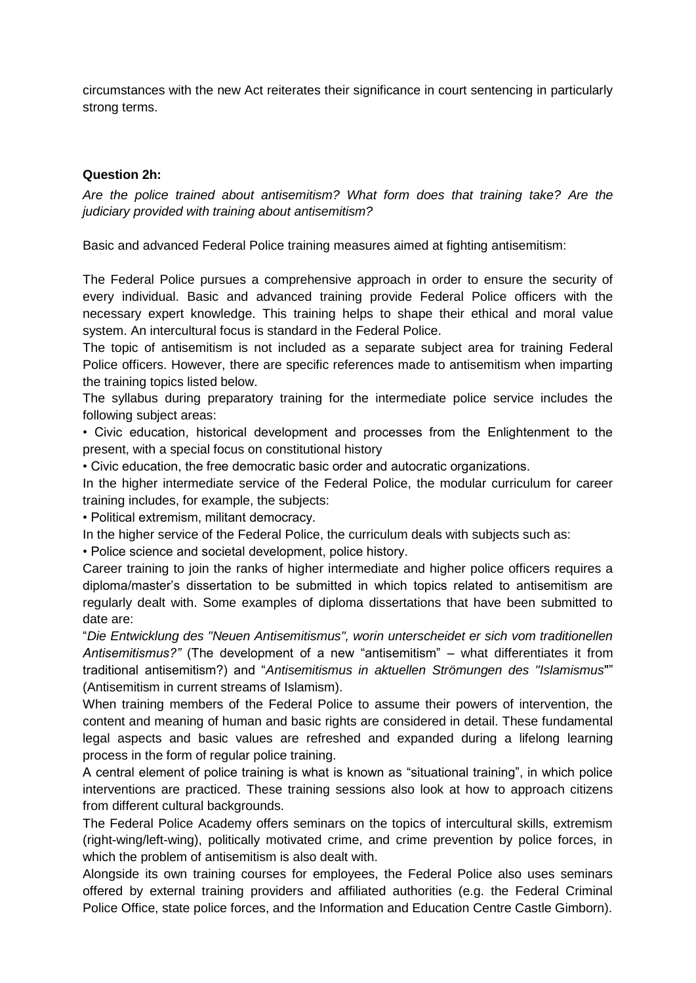circumstances with the new Act reiterates their significance in court sentencing in particularly strong terms.

## **Question 2h:**

*Are the police trained about antisemitism? What form does that training take? Are the judiciary provided with training about antisemitism?*

Basic and advanced Federal Police training measures aimed at fighting antisemitism:

The Federal Police pursues a comprehensive approach in order to ensure the security of every individual. Basic and advanced training provide Federal Police officers with the necessary expert knowledge. This training helps to shape their ethical and moral value system. An intercultural focus is standard in the Federal Police.

The topic of antisemitism is not included as a separate subject area for training Federal Police officers. However, there are specific references made to antisemitism when imparting the training topics listed below.

The syllabus during preparatory training for the intermediate police service includes the following subject areas:

• Civic education, historical development and processes from the Enlightenment to the present, with a special focus on constitutional history

• Civic education, the free democratic basic order and autocratic organizations.

In the higher intermediate service of the Federal Police, the modular curriculum for career training includes, for example, the subjects:

• Political extremism, militant democracy.

In the higher service of the Federal Police, the curriculum deals with subjects such as:

• Police science and societal development, police history.

Career training to join the ranks of higher intermediate and higher police officers requires a diploma/master's dissertation to be submitted in which topics related to antisemitism are regularly dealt with. Some examples of diploma dissertations that have been submitted to date are:

"*Die Entwicklung des "Neuen Antisemitismus", worin unterscheidet er sich vom traditionellen Antisemitismus?"* (The development of a new "antisemitism" – what differentiates it from traditional antisemitism?) and "*Antisemitismus in aktuellen Strömungen des "Islamismus*"" (Antisemitism in current streams of Islamism).

When training members of the Federal Police to assume their powers of intervention, the content and meaning of human and basic rights are considered in detail. These fundamental legal aspects and basic values are refreshed and expanded during a lifelong learning process in the form of regular police training.

A central element of police training is what is known as "situational training", in which police interventions are practiced. These training sessions also look at how to approach citizens from different cultural backgrounds.

The Federal Police Academy offers seminars on the topics of intercultural skills, extremism (right-wing/left-wing), politically motivated crime, and crime prevention by police forces, in which the problem of antisemitism is also dealt with.

Alongside its own training courses for employees, the Federal Police also uses seminars offered by external training providers and affiliated authorities (e.g. the Federal Criminal Police Office, state police forces, and the Information and Education Centre Castle Gimborn).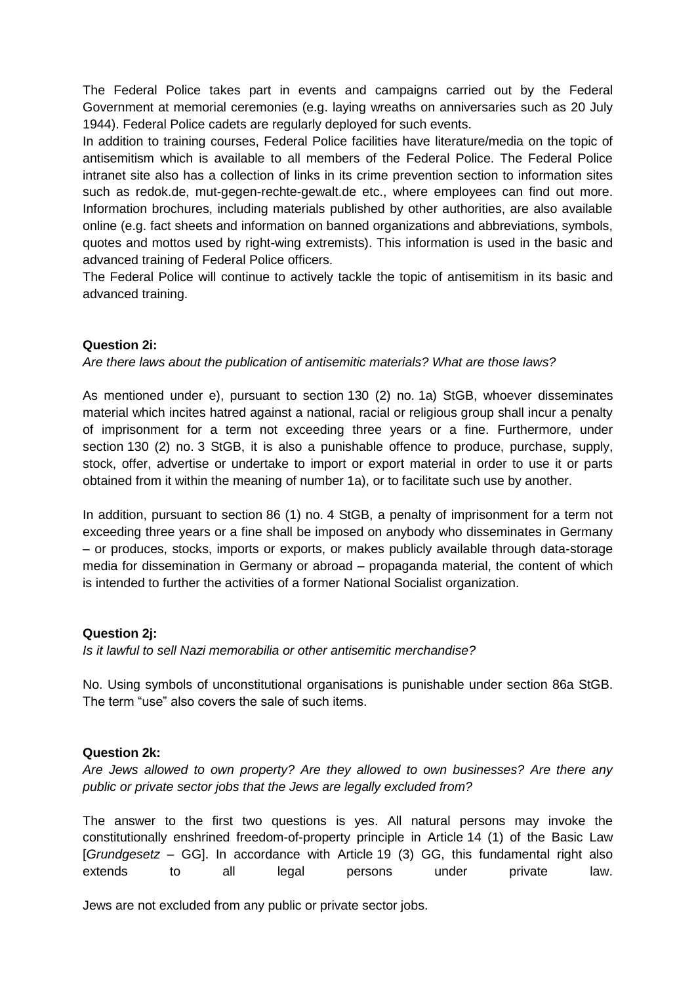The Federal Police takes part in events and campaigns carried out by the Federal Government at memorial ceremonies (e.g. laying wreaths on anniversaries such as 20 July 1944). Federal Police cadets are regularly deployed for such events.

In addition to training courses, Federal Police facilities have literature/media on the topic of antisemitism which is available to all members of the Federal Police. The Federal Police intranet site also has a collection of links in its crime prevention section to information sites such as redok.de, mut-gegen-rechte-gewalt.de etc., where employees can find out more. Information brochures, including materials published by other authorities, are also available online (e.g. fact sheets and information on banned organizations and abbreviations, symbols, quotes and mottos used by right-wing extremists). This information is used in the basic and advanced training of Federal Police officers.

The Federal Police will continue to actively tackle the topic of antisemitism in its basic and advanced training.

## **Question 2i:**

## *Are there laws about the publication of antisemitic materials? What are those laws?*

As mentioned under e), pursuant to section 130 (2) no. 1a) StGB, whoever disseminates material which incites hatred against a national, racial or religious group shall incur a penalty of imprisonment for a term not exceeding three years or a fine. Furthermore, under section 130 (2) no. 3 StGB, it is also a punishable offence to produce, purchase, supply, stock, offer, advertise or undertake to import or export material in order to use it or parts obtained from it within the meaning of number 1a), or to facilitate such use by another.

In addition, pursuant to section 86 (1) no. 4 StGB, a penalty of imprisonment for a term not exceeding three years or a fine shall be imposed on anybody who disseminates in Germany – or produces, stocks, imports or exports, or makes publicly available through data-storage media for dissemination in Germany or abroad – propaganda material, the content of which is intended to further the activities of a former National Socialist organization.

## **Question 2j:**

*Is it lawful to sell Nazi memorabilia or other antisemitic merchandise?*

No. Using symbols of unconstitutional organisations is punishable under section 86a StGB. The term "use" also covers the sale of such items.

#### **Question 2k:**

*Are Jews allowed to own property? Are they allowed to own businesses? Are there any public or private sector jobs that the Jews are legally excluded from?*

The answer to the first two questions is yes. All natural persons may invoke the constitutionally enshrined freedom-of-property principle in Article 14 (1) of the Basic Law [*Grundgesetz* – GG]. In accordance with Article 19 (3) GG, this fundamental right also extends to all legal persons under private law.

Jews are not excluded from any public or private sector jobs.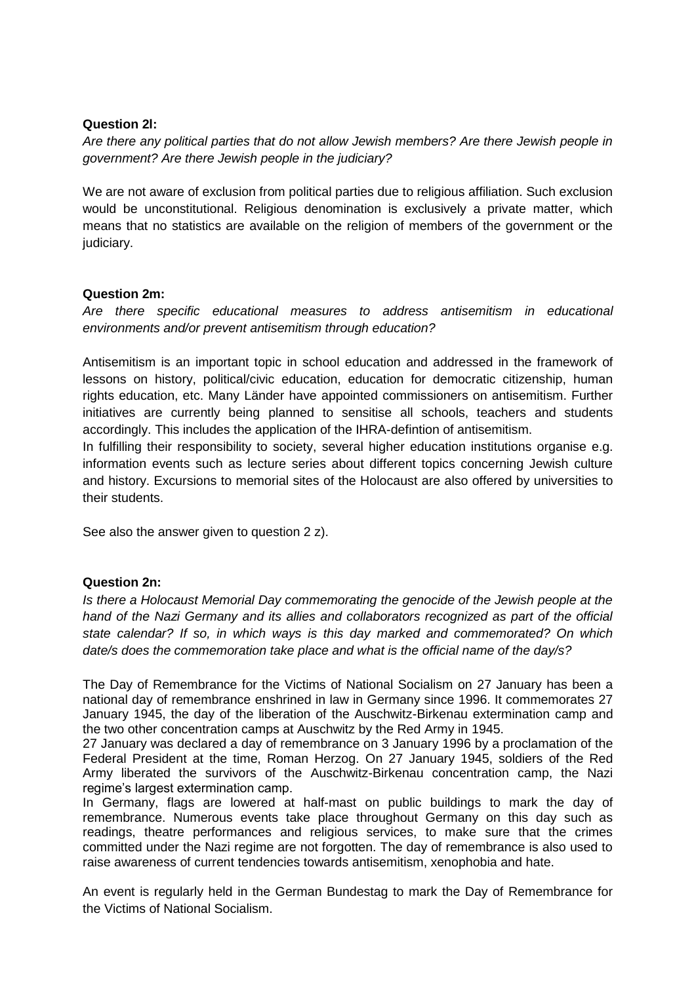### **Question 2l:**

*Are there any political parties that do not allow Jewish members? Are there Jewish people in government? Are there Jewish people in the judiciary?*

We are not aware of exclusion from political parties due to religious affiliation. Such exclusion would be unconstitutional. Religious denomination is exclusively a private matter, which means that no statistics are available on the religion of members of the government or the judiciary.

#### **Question 2m:**

*Are there specific educational measures to address antisemitism in educational environments and/or prevent antisemitism through education?*

Antisemitism is an important topic in school education and addressed in the framework of lessons on history, political/civic education, education for democratic citizenship, human rights education, etc. Many Länder have appointed commissioners on antisemitism. Further initiatives are currently being planned to sensitise all schools, teachers and students accordingly. This includes the application of the IHRA-defintion of antisemitism.

In fulfilling their responsibility to society, several higher education institutions organise e.g. information events such as lecture series about different topics concerning Jewish culture and history. Excursions to memorial sites of the Holocaust are also offered by universities to their students.

See also the answer given to question 2 z).

## **Question 2n:**

*Is there a Holocaust Memorial Day commemorating the genocide of the Jewish people at the hand of the Nazi Germany and its allies and collaborators recognized as part of the official state calendar? If so, in which ways is this day marked and commemorated? On which date/s does the commemoration take place and what is the official name of the day/s?*

The Day of Remembrance for the Victims of National Socialism on 27 January has been a national day of remembrance enshrined in law in Germany since 1996. It commemorates 27 January 1945, the day of the liberation of the Auschwitz-Birkenau extermination camp and the two other concentration camps at Auschwitz by the Red Army in 1945.

27 January was declared a day of remembrance on 3 January 1996 by a proclamation of the Federal President at the time, Roman Herzog. On 27 January 1945, soldiers of the Red Army liberated the survivors of the Auschwitz-Birkenau concentration camp, the Nazi regime's largest extermination camp.

In Germany, flags are lowered at half-mast on public buildings to mark the day of remembrance. Numerous events take place throughout Germany on this day such as readings, theatre performances and religious services, to make sure that the crimes committed under the Nazi regime are not forgotten. The day of remembrance is also used to raise awareness of current tendencies towards antisemitism, xenophobia and hate.

An event is regularly held in the German Bundestag to mark the Day of Remembrance for the Victims of National Socialism.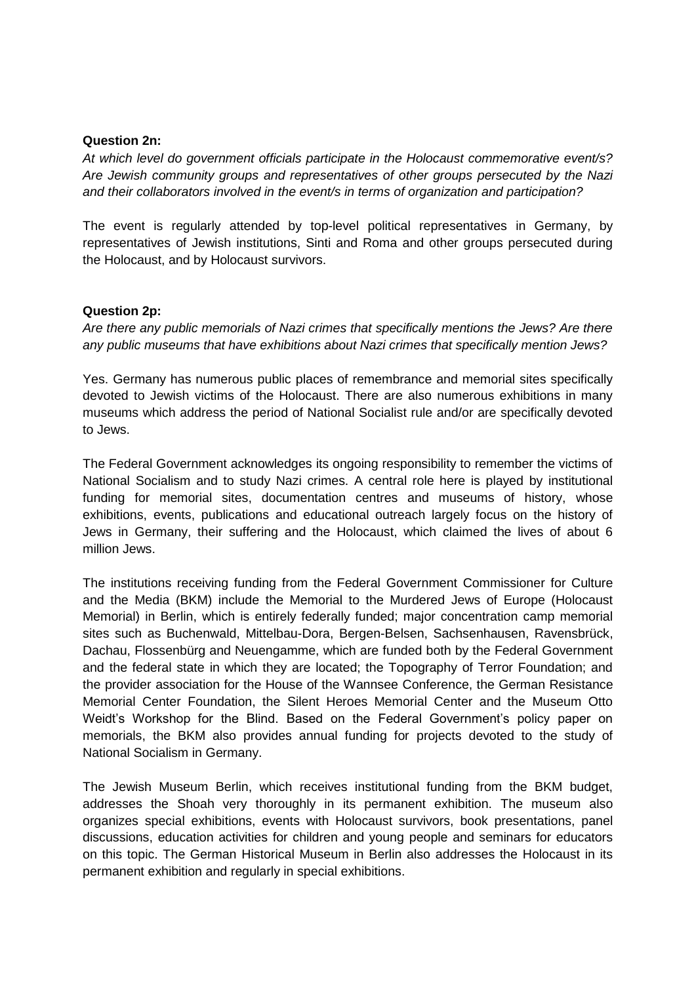#### **Question 2n:**

*At which level do government officials participate in the Holocaust commemorative event/s? Are Jewish community groups and representatives of other groups persecuted by the Nazi and their collaborators involved in the event/s in terms of organization and participation?*

The event is regularly attended by top-level political representatives in Germany, by representatives of Jewish institutions, Sinti and Roma and other groups persecuted during the Holocaust, and by Holocaust survivors.

#### **Question 2p:**

*Are there any public memorials of Nazi crimes that specifically mentions the Jews? Are there any public museums that have exhibitions about Nazi crimes that specifically mention Jews?*

Yes. Germany has numerous public places of remembrance and memorial sites specifically devoted to Jewish victims of the Holocaust. There are also numerous exhibitions in many museums which address the period of National Socialist rule and/or are specifically devoted to Jews.

The Federal Government acknowledges its ongoing responsibility to remember the victims of National Socialism and to study Nazi crimes. A central role here is played by institutional funding for memorial sites, documentation centres and museums of history, whose exhibitions, events, publications and educational outreach largely focus on the history of Jews in Germany, their suffering and the Holocaust, which claimed the lives of about 6 million Jews.

The institutions receiving funding from the Federal Government Commissioner for Culture and the Media (BKM) include the Memorial to the Murdered Jews of Europe (Holocaust Memorial) in Berlin, which is entirely federally funded; major concentration camp memorial sites such as Buchenwald, Mittelbau-Dora, Bergen-Belsen, Sachsenhausen, Ravensbrück, Dachau, Flossenbürg and Neuengamme, which are funded both by the Federal Government and the federal state in which they are located; the Topography of Terror Foundation; and the provider association for the House of the Wannsee Conference, the German Resistance Memorial Center Foundation, the Silent Heroes Memorial Center and the Museum Otto Weidt's Workshop for the Blind. Based on the Federal Government's policy paper on memorials, the BKM also provides annual funding for projects devoted to the study of National Socialism in Germany.

The Jewish Museum Berlin, which receives institutional funding from the BKM budget, addresses the Shoah very thoroughly in its permanent exhibition. The museum also organizes special exhibitions, events with Holocaust survivors, book presentations, panel discussions, education activities for children and young people and seminars for educators on this topic. The German Historical Museum in Berlin also addresses the Holocaust in its permanent exhibition and regularly in special exhibitions.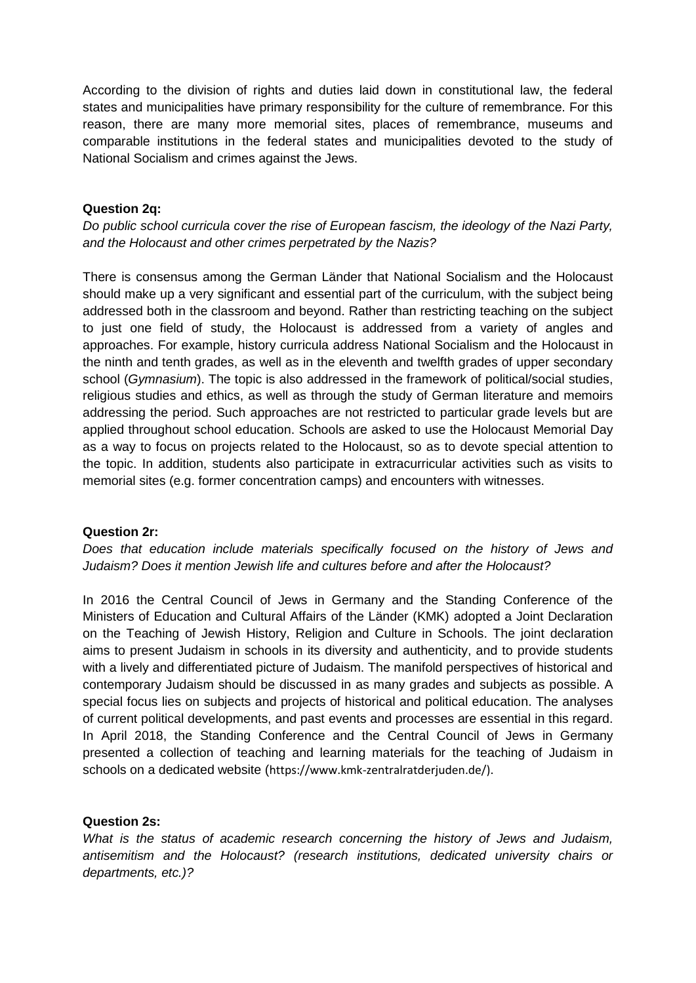According to the division of rights and duties laid down in constitutional law, the federal states and municipalities have primary responsibility for the culture of remembrance. For this reason, there are many more memorial sites, places of remembrance, museums and comparable institutions in the federal states and municipalities devoted to the study of National Socialism and crimes against the Jews.

## **Question 2q:**

*Do public school curricula cover the rise of European fascism, the ideology of the Nazi Party, and the Holocaust and other crimes perpetrated by the Nazis?*

There is consensus among the German Länder that National Socialism and the Holocaust should make up a very significant and essential part of the curriculum, with the subject being addressed both in the classroom and beyond. Rather than restricting teaching on the subject to just one field of study, the Holocaust is addressed from a variety of angles and approaches. For example, history curricula address National Socialism and the Holocaust in the ninth and tenth grades, as well as in the eleventh and twelfth grades of upper secondary school (*Gymnasium*). The topic is also addressed in the framework of political/social studies, religious studies and ethics, as well as through the study of German literature and memoirs addressing the period. Such approaches are not restricted to particular grade levels but are applied throughout school education. Schools are asked to use the Holocaust Memorial Day as a way to focus on projects related to the Holocaust, so as to devote special attention to the topic. In addition, students also participate in extracurricular activities such as visits to memorial sites (e.g. former concentration camps) and encounters with witnesses.

## **Question 2r:**

*Does that education include materials specifically focused on the history of Jews and Judaism? Does it mention Jewish life and cultures before and after the Holocaust?*

In 2016 the Central Council of Jews in Germany and the Standing Conference of the Ministers of Education and Cultural Affairs of the Länder (KMK) adopted a Joint Declaration on the Teaching of Jewish History, Religion and Culture in Schools. The joint declaration aims to present Judaism in schools in its diversity and authenticity, and to provide students with a lively and differentiated picture of Judaism. The manifold perspectives of historical and contemporary Judaism should be discussed in as many grades and subjects as possible. A special focus lies on subjects and projects of historical and political education. The analyses of current political developments, and past events and processes are essential in this regard. In April 2018, the Standing Conference and the Central Council of Jews in Germany presented a collection of teaching and learning materials for the teaching of Judaism in schools on a dedicated website (https://www.kmk-zentralratderjuden.de/).

## **Question 2s:**

*What is the status of academic research concerning the history of Jews and Judaism, antisemitism and the Holocaust? (research institutions, dedicated university chairs or departments, etc.)?*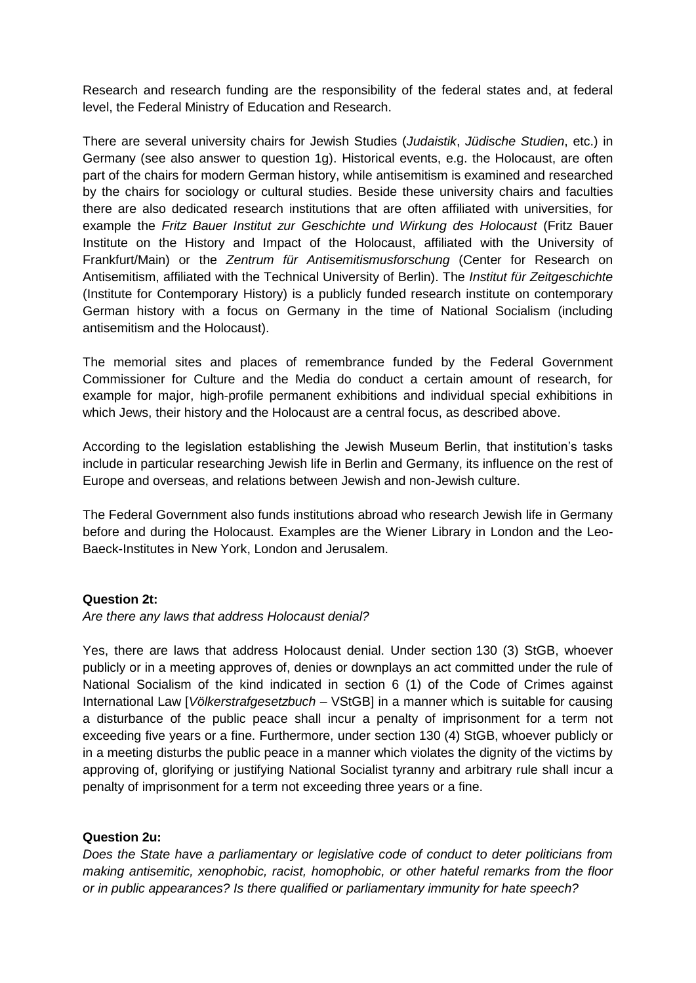Research and research funding are the responsibility of the federal states and, at federal level, the Federal Ministry of Education and Research.

There are several university chairs for Jewish Studies (*Judaistik*, *Jüdische Studien*, etc.) in Germany (see also answer to question 1g). Historical events, e.g. the Holocaust, are often part of the chairs for modern German history, while antisemitism is examined and researched by the chairs for sociology or cultural studies. Beside these university chairs and faculties there are also dedicated research institutions that are often affiliated with universities, for example the *Fritz Bauer Institut zur Geschichte und Wirkung des Holocaust* (Fritz Bauer Institute on the History and Impact of the Holocaust, affiliated with the University of Frankfurt/Main) or the *Zentrum für Antisemitismusforschung* (Center for Research on Antisemitism, affiliated with the Technical University of Berlin). The *Institut für Zeitgeschichte* (Institute for Contemporary History) is a publicly funded research institute on contemporary German history with a focus on Germany in the time of National Socialism (including antisemitism and the Holocaust).

The memorial sites and places of remembrance funded by the Federal Government Commissioner for Culture and the Media do conduct a certain amount of research, for example for major, high-profile permanent exhibitions and individual special exhibitions in which Jews, their history and the Holocaust are a central focus, as described above.

According to the legislation establishing the Jewish Museum Berlin, that institution's tasks include in particular researching Jewish life in Berlin and Germany, its influence on the rest of Europe and overseas, and relations between Jewish and non-Jewish culture.

The Federal Government also funds institutions abroad who research Jewish life in Germany before and during the Holocaust. Examples are the Wiener Library in London and the Leo-Baeck-Institutes in New York, London and Jerusalem.

## **Question 2t:**

*Are there any laws that address Holocaust denial?*

Yes, there are laws that address Holocaust denial. Under section 130 (3) StGB, whoever publicly or in a meeting approves of, denies or downplays an act committed under the rule of National Socialism of the kind indicated in section 6 (1) of the Code of Crimes against International Law [*Völkerstrafgesetzbuch* – VStGB] in a manner which is suitable for causing a disturbance of the public peace shall incur a penalty of imprisonment for a term not exceeding five years or a fine. Furthermore, under section 130 (4) StGB, whoever publicly or in a meeting disturbs the public peace in a manner which violates the dignity of the victims by approving of, glorifying or justifying National Socialist tyranny and arbitrary rule shall incur a penalty of imprisonment for a term not exceeding three years or a fine.

## **Question 2u:**

*Does the State have a parliamentary or legislative code of conduct to deter politicians from making antisemitic, xenophobic, racist, homophobic, or other hateful remarks from the floor or in public appearances? Is there qualified or parliamentary immunity for hate speech?*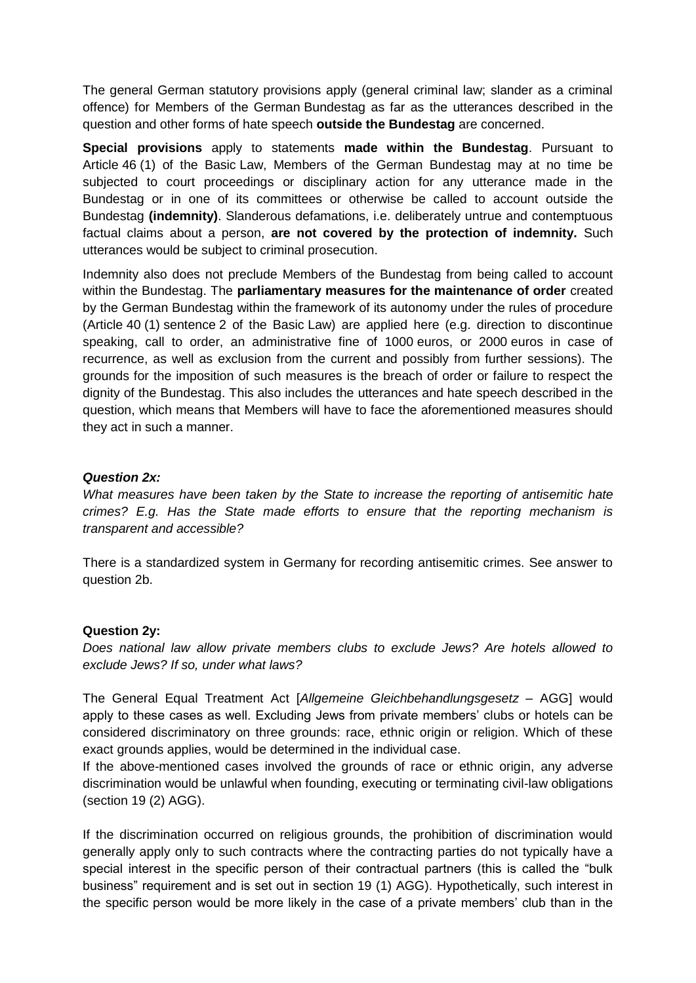The general German statutory provisions apply (general criminal law; slander as a criminal offence) for Members of the German Bundestag as far as the utterances described in the question and other forms of hate speech **outside the Bundestag** are concerned.

**Special provisions** apply to statements **made within the Bundestag**. Pursuant to Article 46 (1) of the Basic Law, Members of the German Bundestag may at no time be subjected to court proceedings or disciplinary action for any utterance made in the Bundestag or in one of its committees or otherwise be called to account outside the Bundestag **(indemnity)**. Slanderous defamations, i.e. deliberately untrue and contemptuous factual claims about a person, **are not covered by the protection of indemnity.** Such utterances would be subject to criminal prosecution.

Indemnity also does not preclude Members of the Bundestag from being called to account within the Bundestag. The **parliamentary measures for the maintenance of order** created by the German Bundestag within the framework of its autonomy under the rules of procedure (Article 40 (1) sentence 2 of the Basic Law) are applied here (e.g. direction to discontinue speaking, call to order, an administrative fine of 1000 euros, or 2000 euros in case of recurrence, as well as exclusion from the current and possibly from further sessions). The grounds for the imposition of such measures is the breach of order or failure to respect the dignity of the Bundestag. This also includes the utterances and hate speech described in the question, which means that Members will have to face the aforementioned measures should they act in such a manner.

## *Question 2x:*

*What measures have been taken by the State to increase the reporting of antisemitic hate crimes? E.g. Has the State made efforts to ensure that the reporting mechanism is transparent and accessible?*

There is a standardized system in Germany for recording antisemitic crimes. See answer to question 2b.

## **Question 2y:**

*Does national law allow private members clubs to exclude Jews? Are hotels allowed to exclude Jews? If so, under what laws?*

The General Equal Treatment Act [*Allgemeine Gleichbehandlungsgesetz* – AGG] would apply to these cases as well. Excluding Jews from private members' clubs or hotels can be considered discriminatory on three grounds: race, ethnic origin or religion. Which of these exact grounds applies, would be determined in the individual case.

If the above-mentioned cases involved the grounds of race or ethnic origin, any adverse discrimination would be unlawful when founding, executing or terminating civil-law obligations (section 19 (2) AGG).

If the discrimination occurred on religious grounds, the prohibition of discrimination would generally apply only to such contracts where the contracting parties do not typically have a special interest in the specific person of their contractual partners (this is called the "bulk business" requirement and is set out in section 19 (1) AGG). Hypothetically, such interest in the specific person would be more likely in the case of a private members' club than in the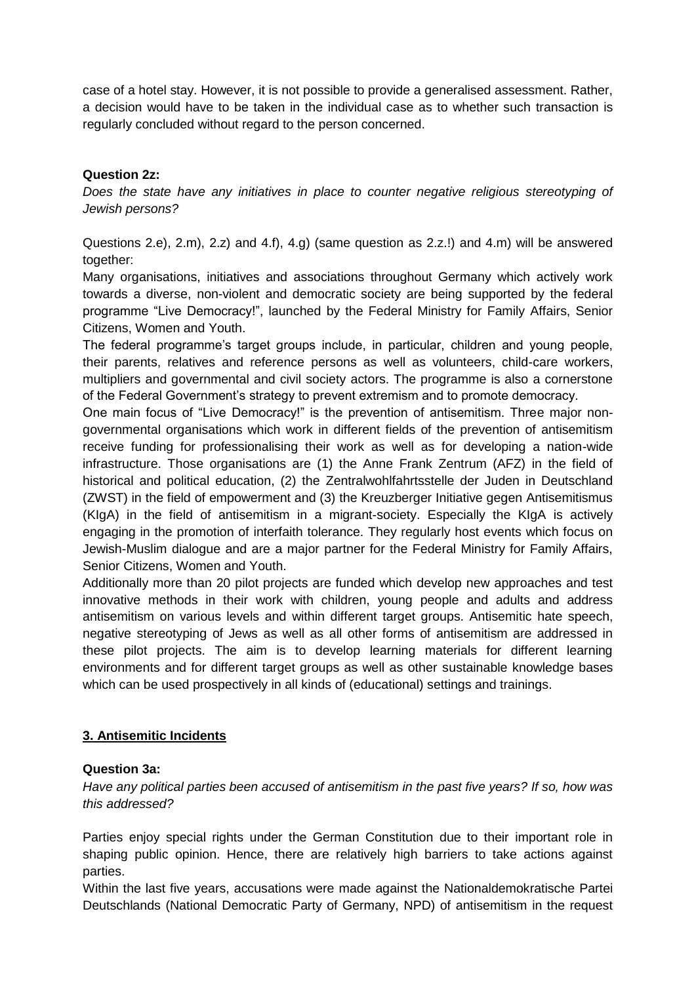case of a hotel stay. However, it is not possible to provide a generalised assessment. Rather, a decision would have to be taken in the individual case as to whether such transaction is regularly concluded without regard to the person concerned.

## **Question 2z:**

*Does the state have any initiatives in place to counter negative religious stereotyping of Jewish persons?*

Questions 2.e), 2.m), 2.z) and 4.f), 4.g) (same question as 2.z.!) and 4.m) will be answered together:

Many organisations, initiatives and associations throughout Germany which actively work towards a diverse, non-violent and democratic society are being supported by the federal programme "Live Democracy!", launched by the Federal Ministry for Family Affairs, Senior Citizens, Women and Youth.

The federal programme's target groups include, in particular, children and young people, their parents, relatives and reference persons as well as volunteers, child-care workers, multipliers and governmental and civil society actors. The programme is also a cornerstone of the Federal Government's strategy to prevent extremism and to promote democracy.

One main focus of "Live Democracy!" is the prevention of antisemitism. Three major nongovernmental organisations which work in different fields of the prevention of antisemitism receive funding for professionalising their work as well as for developing a nation-wide infrastructure. Those organisations are (1) the Anne Frank Zentrum (AFZ) in the field of historical and political education, (2) the Zentralwohlfahrtsstelle der Juden in Deutschland (ZWST) in the field of empowerment and (3) the Kreuzberger Initiative gegen Antisemitismus (KIgA) in the field of antisemitism in a migrant-society. Especially the KIgA is actively engaging in the promotion of interfaith tolerance. They regularly host events which focus on Jewish-Muslim dialogue and are a major partner for the Federal Ministry for Family Affairs, Senior Citizens, Women and Youth.

Additionally more than 20 pilot projects are funded which develop new approaches and test innovative methods in their work with children, young people and adults and address antisemitism on various levels and within different target groups. Antisemitic hate speech, negative stereotyping of Jews as well as all other forms of antisemitism are addressed in these pilot projects. The aim is to develop learning materials for different learning environments and for different target groups as well as other sustainable knowledge bases which can be used prospectively in all kinds of (educational) settings and trainings.

# **3. Antisemitic Incidents**

## **Question 3a:**

*Have any political parties been accused of antisemitism in the past five years? If so, how was this addressed?*

Parties enjoy special rights under the German Constitution due to their important role in shaping public opinion. Hence, there are relatively high barriers to take actions against parties.

Within the last five years, accusations were made against the Nationaldemokratische Partei Deutschlands (National Democratic Party of Germany, NPD) of antisemitism in the request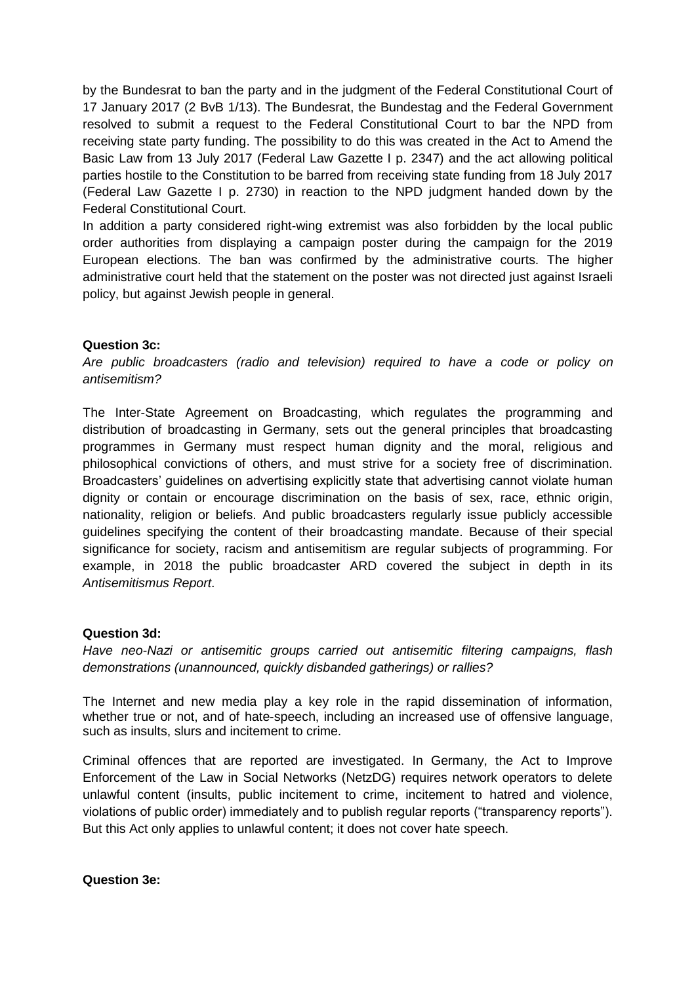by the Bundesrat to ban the party and in the judgment of the Federal Constitutional Court of 17 January 2017 (2 BvB 1/13). The Bundesrat, the Bundestag and the Federal Government resolved to submit a request to the Federal Constitutional Court to bar the NPD from receiving state party funding. The possibility to do this was created in the Act to Amend the Basic Law from 13 July 2017 (Federal Law Gazette I p. 2347) and the act allowing political parties hostile to the Constitution to be barred from receiving state funding from 18 July 2017 (Federal Law Gazette I p. 2730) in reaction to the NPD judgment handed down by the Federal Constitutional Court.

In addition a party considered right-wing extremist was also forbidden by the local public order authorities from displaying a campaign poster during the campaign for the 2019 European elections. The ban was confirmed by the administrative courts. The higher administrative court held that the statement on the poster was not directed just against Israeli policy, but against Jewish people in general.

## **Question 3c:**

*Are public broadcasters (radio and television) required to have a code or policy on antisemitism?*

The Inter-State Agreement on Broadcasting, which regulates the programming and distribution of broadcasting in Germany, sets out the general principles that broadcasting programmes in Germany must respect human dignity and the moral, religious and philosophical convictions of others, and must strive for a society free of discrimination. Broadcasters' guidelines on advertising explicitly state that advertising cannot violate human dignity or contain or encourage discrimination on the basis of sex, race, ethnic origin, nationality, religion or beliefs. And public broadcasters regularly issue publicly accessible guidelines specifying the content of their broadcasting mandate. Because of their special significance for society, racism and antisemitism are regular subjects of programming. For example, in 2018 the public broadcaster ARD covered the subject in depth in its *Antisemitismus Report*.

#### **Question 3d:**

*Have neo-Nazi or antisemitic groups carried out antisemitic filtering campaigns, flash demonstrations (unannounced, quickly disbanded gatherings) or rallies?*

The Internet and new media play a key role in the rapid dissemination of information, whether true or not, and of hate-speech, including an increased use of offensive language, such as insults, slurs and incitement to crime.

Criminal offences that are reported are investigated. In Germany, the Act to Improve Enforcement of the Law in Social Networks (NetzDG) requires network operators to delete unlawful content (insults, public incitement to crime, incitement to hatred and violence, violations of public order) immediately and to publish regular reports ("transparency reports"). But this Act only applies to unlawful content; it does not cover hate speech.

**Question 3e:**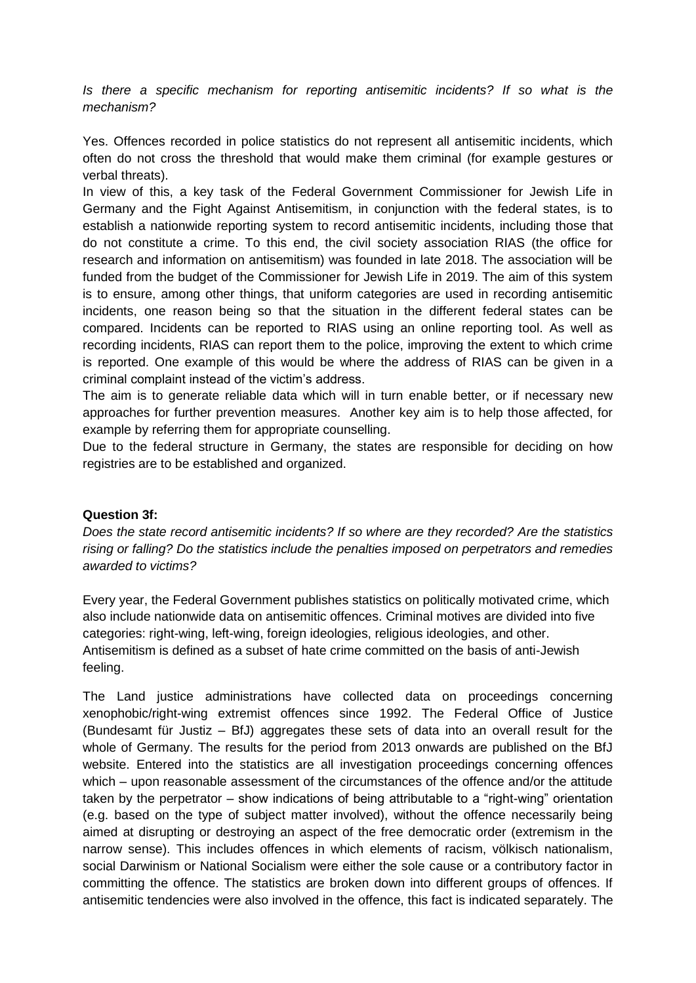*Is there a specific mechanism for reporting antisemitic incidents? If so what is the mechanism?*

Yes. Offences recorded in police statistics do not represent all antisemitic incidents, which often do not cross the threshold that would make them criminal (for example gestures or verbal threats).

In view of this, a key task of the Federal Government Commissioner for Jewish Life in Germany and the Fight Against Antisemitism, in conjunction with the federal states, is to establish a nationwide reporting system to record antisemitic incidents, including those that do not constitute a crime. To this end, the civil society association RIAS (the office for research and information on antisemitism) was founded in late 2018. The association will be funded from the budget of the Commissioner for Jewish Life in 2019. The aim of this system is to ensure, among other things, that uniform categories are used in recording antisemitic incidents, one reason being so that the situation in the different federal states can be compared. Incidents can be reported to RIAS using an online reporting tool. As well as recording incidents, RIAS can report them to the police, improving the extent to which crime is reported. One example of this would be where the address of RIAS can be given in a criminal complaint instead of the victim's address.

The aim is to generate reliable data which will in turn enable better, or if necessary new approaches for further prevention measures. Another key aim is to help those affected, for example by referring them for appropriate counselling.

Due to the federal structure in Germany, the states are responsible for deciding on how registries are to be established and organized.

## **Question 3f:**

*Does the state record antisemitic incidents? If so where are they recorded? Are the statistics rising or falling? Do the statistics include the penalties imposed on perpetrators and remedies awarded to victims?*

Every year, the Federal Government publishes statistics on politically motivated crime, which also include nationwide data on antisemitic offences. Criminal motives are divided into five categories: right-wing, left-wing, foreign ideologies, religious ideologies, and other. Antisemitism is defined as a subset of hate crime committed on the basis of anti-Jewish feeling.

The Land justice administrations have collected data on proceedings concerning xenophobic/right-wing extremist offences since 1992. The Federal Office of Justice (Bundesamt für Justiz – BfJ) aggregates these sets of data into an overall result for the whole of Germany. The results for the period from 2013 onwards are published on the BfJ website. Entered into the statistics are all investigation proceedings concerning offences which – upon reasonable assessment of the circumstances of the offence and/or the attitude taken by the perpetrator – show indications of being attributable to a "right-wing" orientation (e.g. based on the type of subject matter involved), without the offence necessarily being aimed at disrupting or destroying an aspect of the free democratic order (extremism in the narrow sense). This includes offences in which elements of racism, völkisch nationalism, social Darwinism or National Socialism were either the sole cause or a contributory factor in committing the offence. The statistics are broken down into different groups of offences. If antisemitic tendencies were also involved in the offence, this fact is indicated separately. The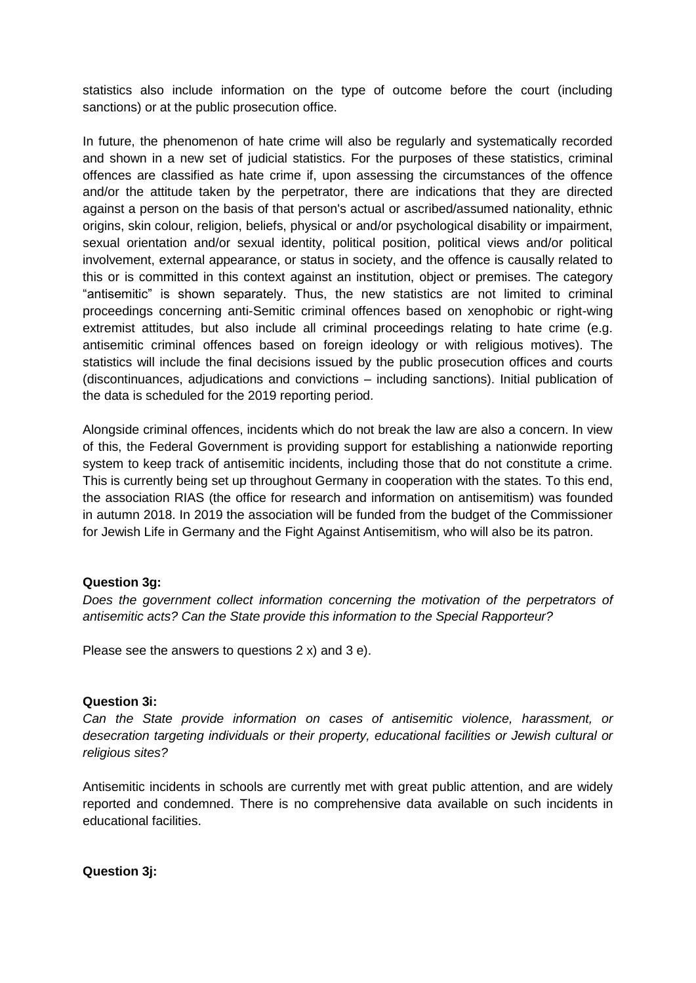statistics also include information on the type of outcome before the court (including sanctions) or at the public prosecution office.

In future, the phenomenon of hate crime will also be regularly and systematically recorded and shown in a new set of judicial statistics. For the purposes of these statistics, criminal offences are classified as hate crime if, upon assessing the circumstances of the offence and/or the attitude taken by the perpetrator, there are indications that they are directed against a person on the basis of that person's actual or ascribed/assumed nationality, ethnic origins, skin colour, religion, beliefs, physical or and/or psychological disability or impairment, sexual orientation and/or sexual identity, political position, political views and/or political involvement, external appearance, or status in society, and the offence is causally related to this or is committed in this context against an institution, object or premises. The category "antisemitic" is shown separately. Thus, the new statistics are not limited to criminal proceedings concerning anti-Semitic criminal offences based on xenophobic or right-wing extremist attitudes, but also include all criminal proceedings relating to hate crime (e.g. antisemitic criminal offences based on foreign ideology or with religious motives). The statistics will include the final decisions issued by the public prosecution offices and courts (discontinuances, adjudications and convictions – including sanctions). Initial publication of the data is scheduled for the 2019 reporting period.

Alongside criminal offences, incidents which do not break the law are also a concern. In view of this, the Federal Government is providing support for establishing a nationwide reporting system to keep track of antisemitic incidents, including those that do not constitute a crime. This is currently being set up throughout Germany in cooperation with the states. To this end, the association RIAS (the office for research and information on antisemitism) was founded in autumn 2018. In 2019 the association will be funded from the budget of the Commissioner for Jewish Life in Germany and the Fight Against Antisemitism, who will also be its patron.

## **Question 3g:**

*Does the government collect information concerning the motivation of the perpetrators of antisemitic acts? Can the State provide this information to the Special Rapporteur?*

Please see the answers to questions 2 x) and 3 e).

## **Question 3i:**

*Can the State provide information on cases of antisemitic violence, harassment, or desecration targeting individuals or their property, educational facilities or Jewish cultural or religious sites?*

Antisemitic incidents in schools are currently met with great public attention, and are widely reported and condemned. There is no comprehensive data available on such incidents in educational facilities.

**Question 3j:**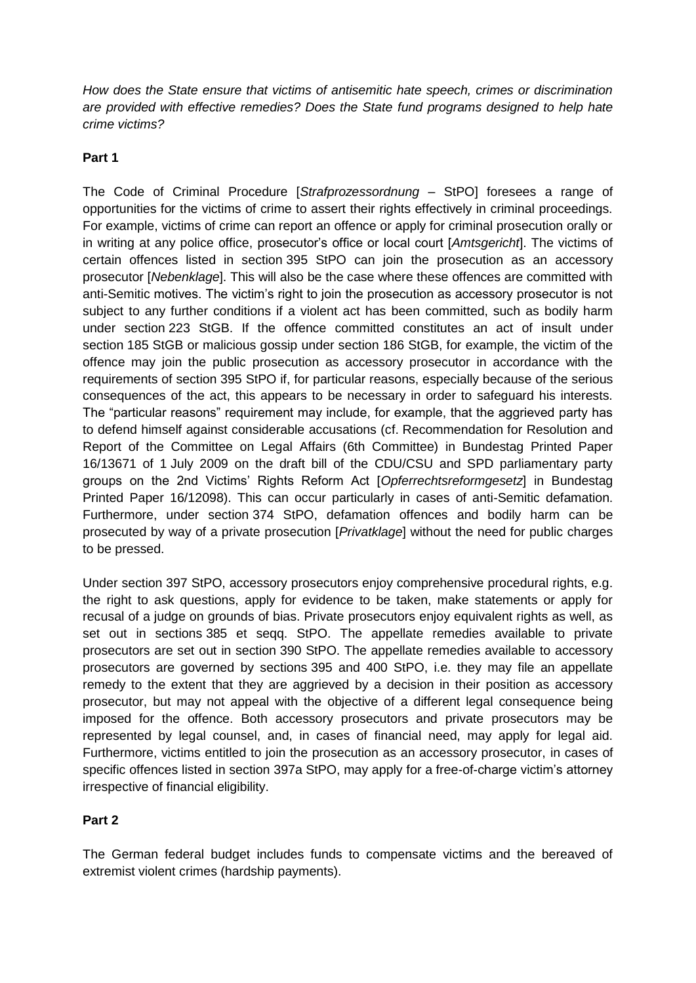*How does the State ensure that victims of antisemitic hate speech, crimes or discrimination are provided with effective remedies? Does the State fund programs designed to help hate crime victims?*

# **Part 1**

The Code of Criminal Procedure [*Strafprozessordnung* – StPO] foresees a range of opportunities for the victims of crime to assert their rights effectively in criminal proceedings. For example, victims of crime can report an offence or apply for criminal prosecution orally or in writing at any police office, prosecutor's office or local court [*Amtsgericht*]. The victims of certain offences listed in section 395 StPO can join the prosecution as an accessory prosecutor [*Nebenklage*]. This will also be the case where these offences are committed with anti-Semitic motives. The victim's right to join the prosecution as accessory prosecutor is not subject to any further conditions if a violent act has been committed, such as bodily harm under section 223 StGB. If the offence committed constitutes an act of insult under section 185 StGB or malicious gossip under section 186 StGB, for example, the victim of the offence may join the public prosecution as accessory prosecutor in accordance with the requirements of section 395 StPO if, for particular reasons, especially because of the serious consequences of the act, this appears to be necessary in order to safeguard his interests. The "particular reasons" requirement may include, for example, that the aggrieved party has to defend himself against considerable accusations (cf. Recommendation for Resolution and Report of the Committee on Legal Affairs (6th Committee) in Bundestag Printed Paper 16/13671 of 1 July 2009 on the draft bill of the CDU/CSU and SPD parliamentary party groups on the 2nd Victims' Rights Reform Act [*Opferrechtsreformgesetz*] in Bundestag Printed Paper 16/12098). This can occur particularly in cases of anti-Semitic defamation. Furthermore, under section 374 StPO, defamation offences and bodily harm can be prosecuted by way of a private prosecution [*Privatklage*] without the need for public charges to be pressed.

Under section 397 StPO, accessory prosecutors enjoy comprehensive procedural rights, e.g. the right to ask questions, apply for evidence to be taken, make statements or apply for recusal of a judge on grounds of bias. Private prosecutors enjoy equivalent rights as well, as set out in sections 385 et seqq. StPO. The appellate remedies available to private prosecutors are set out in section 390 StPO. The appellate remedies available to accessory prosecutors are governed by sections 395 and 400 StPO, i.e. they may file an appellate remedy to the extent that they are aggrieved by a decision in their position as accessory prosecutor, but may not appeal with the objective of a different legal consequence being imposed for the offence. Both accessory prosecutors and private prosecutors may be represented by legal counsel, and, in cases of financial need, may apply for legal aid. Furthermore, victims entitled to join the prosecution as an accessory prosecutor, in cases of specific offences listed in section 397a StPO, may apply for a free-of-charge victim's attorney irrespective of financial eligibility.

# **Part 2**

The German federal budget includes funds to compensate victims and the bereaved of extremist violent crimes (hardship payments).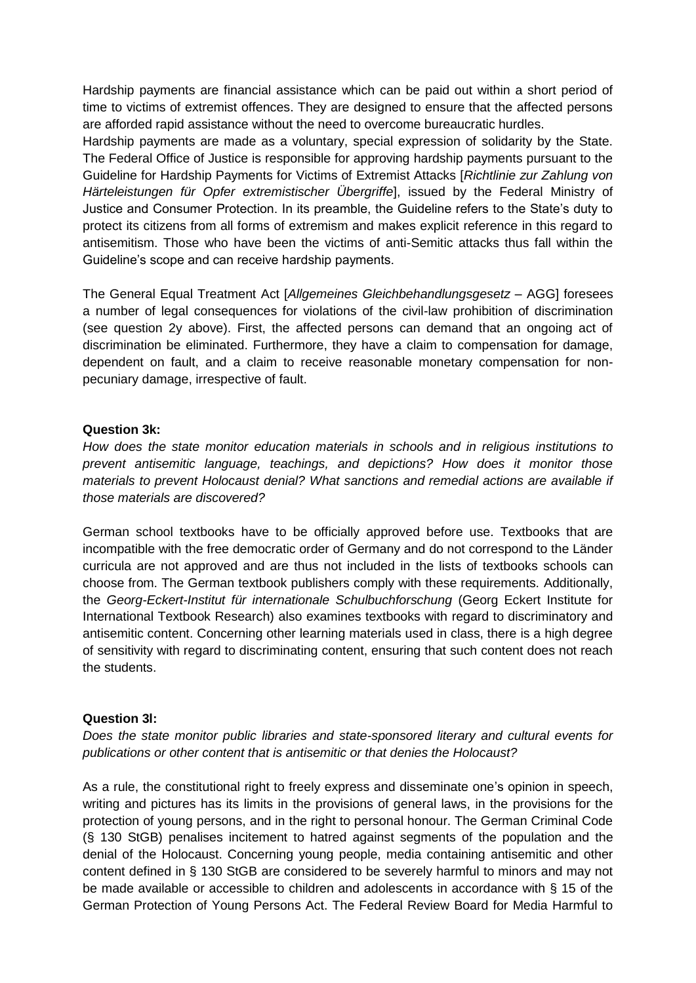Hardship payments are financial assistance which can be paid out within a short period of time to victims of extremist offences. They are designed to ensure that the affected persons are afforded rapid assistance without the need to overcome bureaucratic hurdles.

Hardship payments are made as a voluntary, special expression of solidarity by the State. The Federal Office of Justice is responsible for approving hardship payments pursuant to the Guideline for Hardship Payments for Victims of Extremist Attacks [*Richtlinie zur Zahlung von Härteleistungen für Opfer extremistischer Übergriffe*], issued by the Federal Ministry of Justice and Consumer Protection. In its preamble, the Guideline refers to the State's duty to protect its citizens from all forms of extremism and makes explicit reference in this regard to antisemitism. Those who have been the victims of anti-Semitic attacks thus fall within the Guideline's scope and can receive hardship payments.

The General Equal Treatment Act [*Allgemeines Gleichbehandlungsgesetz* – AGG] foresees a number of legal consequences for violations of the civil-law prohibition of discrimination (see question 2y above). First, the affected persons can demand that an ongoing act of discrimination be eliminated. Furthermore, they have a claim to compensation for damage, dependent on fault, and a claim to receive reasonable monetary compensation for nonpecuniary damage, irrespective of fault.

## **Question 3k:**

*How does the state monitor education materials in schools and in religious institutions to prevent antisemitic language, teachings, and depictions? How does it monitor those materials to prevent Holocaust denial? What sanctions and remedial actions are available if those materials are discovered?*

German school textbooks have to be officially approved before use. Textbooks that are incompatible with the free democratic order of Germany and do not correspond to the Länder curricula are not approved and are thus not included in the lists of textbooks schools can choose from. The German textbook publishers comply with these requirements. Additionally, the *Georg-Eckert-Institut für internationale Schulbuchforschung* (Georg Eckert Institute for International Textbook Research) also examines textbooks with regard to discriminatory and antisemitic content. Concerning other learning materials used in class, there is a high degree of sensitivity with regard to discriminating content, ensuring that such content does not reach the students.

## **Question 3l:**

*Does the state monitor public libraries and state-sponsored literary and cultural events for publications or other content that is antisemitic or that denies the Holocaust?*

As a rule, the constitutional right to freely express and disseminate one's opinion in speech, writing and pictures has its limits in the provisions of general laws, in the provisions for the protection of young persons, and in the right to personal honour. The German Criminal Code (§ 130 StGB) penalises incitement to hatred against segments of the population and the denial of the Holocaust. Concerning young people, media containing antisemitic and other content defined in § 130 StGB are considered to be severely harmful to minors and may not be made available or accessible to children and adolescents in accordance with § 15 of the German Protection of Young Persons Act. The Federal Review Board for Media Harmful to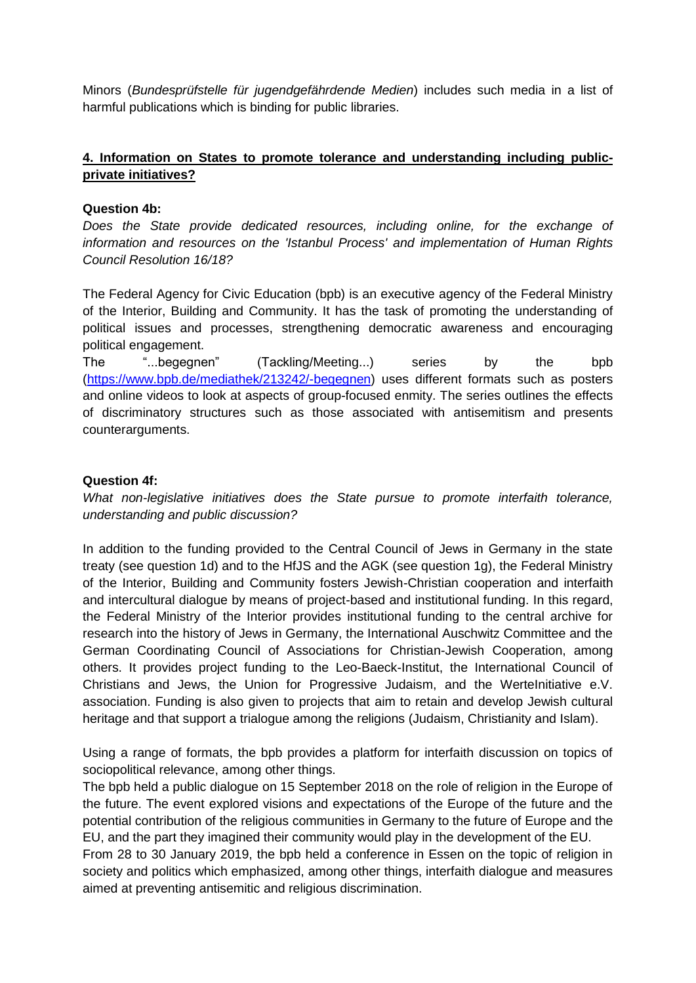Minors (*Bundesprüfstelle für jugendgefährdende Medien*) includes such media in a list of harmful publications which is binding for public libraries.

# **4. Information on States to promote tolerance and understanding including publicprivate initiatives?**

## **Question 4b:**

*Does the State provide dedicated resources, including online, for the exchange of information and resources on the 'Istanbul Process' and implementation of Human Rights Council Resolution 16/18?*

The Federal Agency for Civic Education (bpb) is an executive agency of the Federal Ministry of the Interior, Building and Community. It has the task of promoting the understanding of political issues and processes, strengthening democratic awareness and encouraging political engagement.

The "...begegnen" (Tackling/Meeting...) series by the bpb [\(https://www.bpb.de/mediathek/213242/-begegnen\)](https://www.bpb.de/mediathek/213242/-begegnen) uses different formats such as posters and online videos to look at aspects of group-focused enmity. The series outlines the effects of discriminatory structures such as those associated with antisemitism and presents counterarguments.

## **Question 4f:**

*What non-legislative initiatives does the State pursue to promote interfaith tolerance, understanding and public discussion?*

In addition to the funding provided to the Central Council of Jews in Germany in the state treaty (see question 1d) and to the HfJS and the AGK (see question 1g), the Federal Ministry of the Interior, Building and Community fosters Jewish-Christian cooperation and interfaith and intercultural dialogue by means of project-based and institutional funding. In this regard, the Federal Ministry of the Interior provides institutional funding to the central archive for research into the history of Jews in Germany, the International Auschwitz Committee and the German Coordinating Council of Associations for Christian-Jewish Cooperation, among others. It provides project funding to the Leo-Baeck-Institut, the International Council of Christians and Jews, the Union for Progressive Judaism, and the WerteInitiative e.V. association. Funding is also given to projects that aim to retain and develop Jewish cultural heritage and that support a trialogue among the religions (Judaism, Christianity and Islam).

Using a range of formats, the bpb provides a platform for interfaith discussion on topics of sociopolitical relevance, among other things.

The bpb held a public dialogue on 15 September 2018 on the role of religion in the Europe of the future. The event explored visions and expectations of the Europe of the future and the potential contribution of the religious communities in Germany to the future of Europe and the EU, and the part they imagined their community would play in the development of the EU. From 28 to 30 January 2019, the bpb held a conference in Essen on the topic of religion in society and politics which emphasized, among other things, interfaith dialogue and measures

aimed at preventing antisemitic and religious discrimination.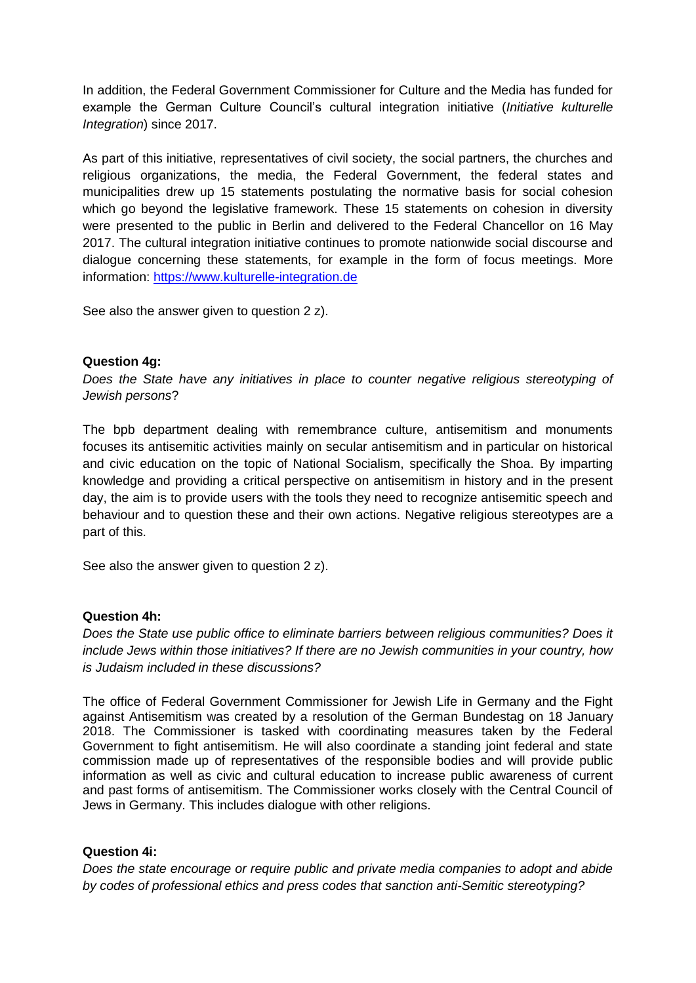In addition, the Federal Government Commissioner for Culture and the Media has funded for example the German Culture Council's cultural integration initiative (*Initiative kulturelle Integration*) since 2017.

As part of this initiative, representatives of civil society, the social partners, the churches and religious organizations, the media, the Federal Government, the federal states and municipalities drew up 15 statements postulating the normative basis for social cohesion which go beyond the legislative framework. These 15 statements on cohesion in diversity were presented to the public in Berlin and delivered to the Federal Chancellor on 16 May 2017. The cultural integration initiative continues to promote nationwide social discourse and dialogue concerning these statements, for example in the form of focus meetings. More information: [https://www.kulturelle-integration.de](https://www.kulturelle-integration.de/)

See also the answer given to question 2 z).

#### **Question 4g:**

*Does the State have any initiatives in place to counter negative religious stereotyping of Jewish persons*?

The bpb department dealing with remembrance culture, antisemitism and monuments focuses its antisemitic activities mainly on secular antisemitism and in particular on historical and civic education on the topic of National Socialism, specifically the Shoa. By imparting knowledge and providing a critical perspective on antisemitism in history and in the present day, the aim is to provide users with the tools they need to recognize antisemitic speech and behaviour and to question these and their own actions. Negative religious stereotypes are a part of this.

See also the answer given to question 2 z).

#### **Question 4h:**

*Does the State use public office to eliminate barriers between religious communities? Does it include Jews within those initiatives? If there are no Jewish communities in your country, how is Judaism included in these discussions?*

The office of Federal Government Commissioner for Jewish Life in Germany and the Fight against Antisemitism was created by a resolution of the German Bundestag on 18 January 2018. The Commissioner is tasked with coordinating measures taken by the Federal Government to fight antisemitism. He will also coordinate a standing joint federal and state commission made up of representatives of the responsible bodies and will provide public information as well as civic and cultural education to increase public awareness of current and past forms of antisemitism. The Commissioner works closely with the Central Council of Jews in Germany. This includes dialogue with other religions.

## **Question 4i:**

*Does the state encourage or require public and private media companies to adopt and abide by codes of professional ethics and press codes that sanction anti-Semitic stereotyping?*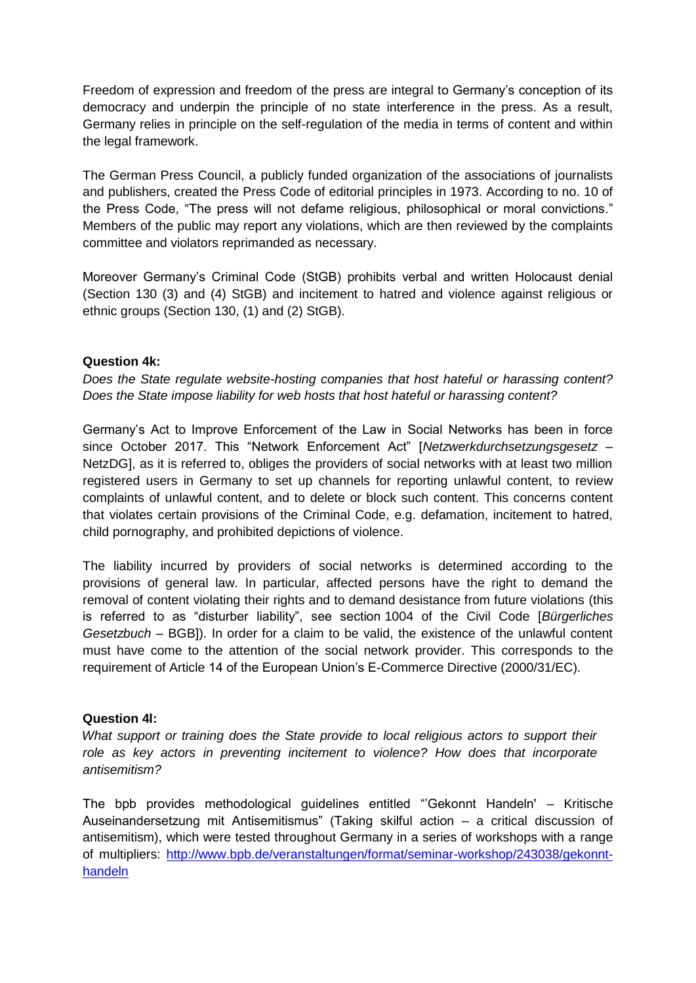Freedom of expression and freedom of the press are integral to Germany's conception of its democracy and underpin the principle of no state interference in the press. As a result, Germany relies in principle on the self-regulation of the media in terms of content and within the legal framework.

The German Press Council, a publicly funded organization of the associations of journalists and publishers, created the Press Code of editorial principles in 1973. According to no. 10 of the Press Code, "The press will not defame religious, philosophical or moral convictions." Members of the public may report any violations, which are then reviewed by the complaints committee and violators reprimanded as necessary.

Moreover Germany's Criminal Code (StGB) prohibits verbal and written Holocaust denial (Section 130 (3) and (4) StGB) and incitement to hatred and violence against religious or ethnic groups (Section 130, (1) and (2) StGB).

## **Question 4k:**

*Does the State regulate website-hosting companies that host hateful or harassing content? Does the State impose liability for web hosts that host hateful or harassing content?*

Germany's Act to Improve Enforcement of the Law in Social Networks has been in force since October 2017. This "Network Enforcement Act" [*Netzwerkdurchsetzungsgesetz* – NetzDG], as it is referred to, obliges the providers of social networks with at least two million registered users in Germany to set up channels for reporting unlawful content, to review complaints of unlawful content, and to delete or block such content. This concerns content that violates certain provisions of the Criminal Code, e.g. defamation, incitement to hatred, child pornography, and prohibited depictions of violence.

The liability incurred by providers of social networks is determined according to the provisions of general law. In particular, affected persons have the right to demand the removal of content violating their rights and to demand desistance from future violations (this is referred to as "disturber liability", see section 1004 of the Civil Code [*Bürgerliches Gesetzbuch* – BGB]). In order for a claim to be valid, the existence of the unlawful content must have come to the attention of the social network provider. This corresponds to the requirement of Article 14 of the European Union's E-Commerce Directive (2000/31/EC).

## **Question 4l:**

What support or training does the State provide to local religious actors to support their *role as key actors in preventing incitement to violence? How does that incorporate antisemitism?*

The bpb provides methodological guidelines entitled "'Gekonnt Handeln' – Kritische Auseinandersetzung mit Antisemitismus" (Taking skilful action – a critical discussion of antisemitism), which were tested throughout Germany in a series of workshops with a range of multipliers: [http://www.bpb.de/veranstaltungen/format/seminar-workshop/243038/gekonnt](http://www.bpb.de/veranstaltungen/format/seminar-workshop/243038/gekonnt-handeln)[handeln](http://www.bpb.de/veranstaltungen/format/seminar-workshop/243038/gekonnt-handeln)